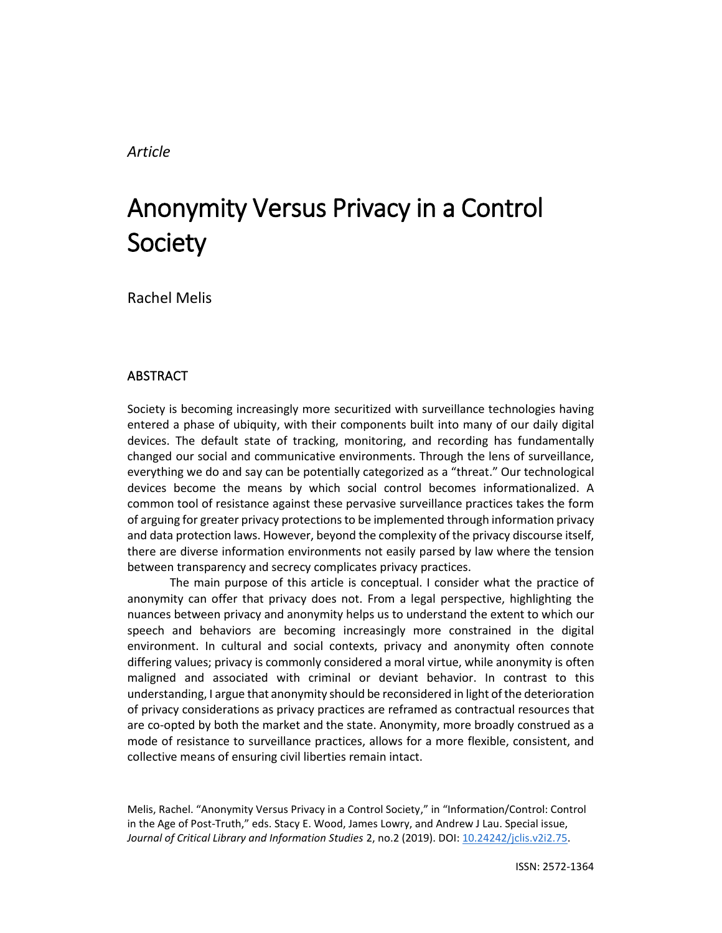# *Article*

# Anonymity Versus Privacy in a Control Society

Rachel Melis

# **ABSTRACT**

Society is becoming increasingly more securitized with surveillance technologies having entered a phase of ubiquity, with their components built into many of our daily digital devices. The default state of tracking, monitoring, and recording has fundamentally changed our social and communicative environments. Through the lens of surveillance, everything we do and say can be potentially categorized as a "threat." Our technological devices become the means by which social control becomes informationalized. A common tool of resistance against these pervasive surveillance practices takes the form of arguing for greater privacy protections to be implemented through information privacy and data protection laws. However, beyond the complexity of the privacy discourse itself, there are diverse information environments not easily parsed by law where the tension between transparency and secrecy complicates privacy practices.

The main purpose of this article is conceptual. I consider what the practice of anonymity can offer that privacy does not. From a legal perspective, highlighting the nuances between privacy and anonymity helps us to understand the extent to which our speech and behaviors are becoming increasingly more constrained in the digital environment. In cultural and social contexts, privacy and anonymity often connote differing values; privacy is commonly considered a moral virtue, while anonymity is often maligned and associated with criminal or deviant behavior. In contrast to this understanding, I argue that anonymity should be reconsidered in light of the deterioration of privacy considerations as privacy practices are reframed as contractual resources that are co-opted by both the market and the state. Anonymity, more broadly construed as a mode of resistance to surveillance practices, allows for a more flexible, consistent, and collective means of ensuring civil liberties remain intact.

Melis, Rachel. "Anonymity Versus Privacy in a Control Society," in "Information/Control: Control in the Age of Post-Truth," eds. Stacy E. Wood, James Lowry, and Andrew J Lau. Special issue, *Journal of Critical Library and Information Studies* 2, no.2 (2019). DOI: [10.24242/jclis.v2i2.75.](https://doi.org/10.24242/jclis.v2i2.75)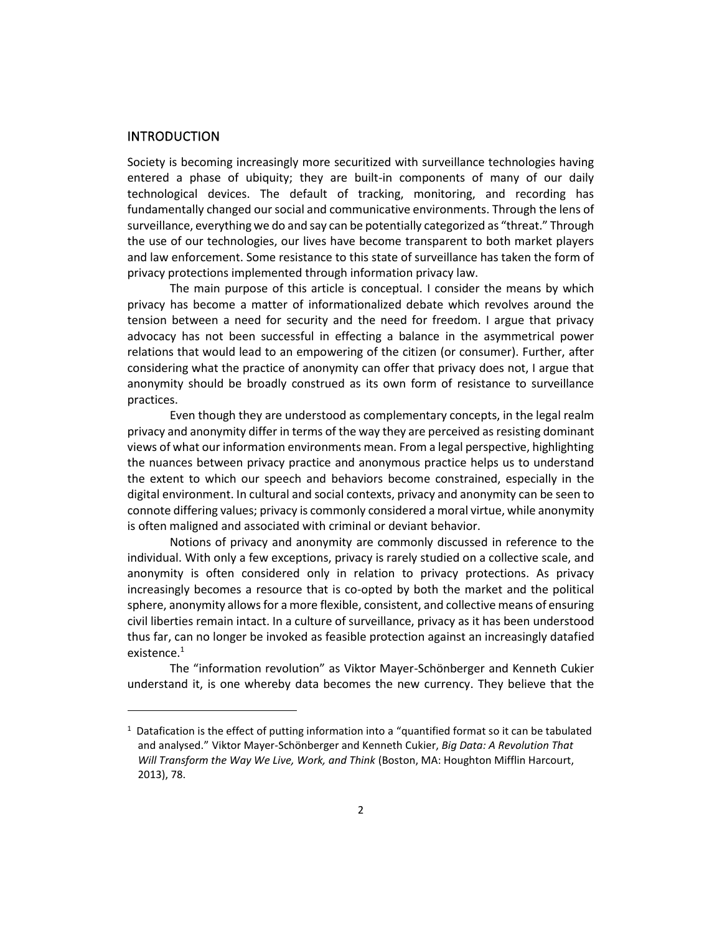#### INTRODUCTION

Society is becoming increasingly more securitized with surveillance technologies having entered a phase of ubiquity; they are built-in components of many of our daily technological devices. The default of tracking, monitoring, and recording has fundamentally changed our social and communicative environments. Through the lens of surveillance, everything we do and say can be potentially categorized as "threat." Through the use of our technologies, our lives have become transparent to both market players and law enforcement. Some resistance to this state of surveillance has taken the form of privacy protections implemented through information privacy law.

The main purpose of this article is conceptual. I consider the means by which privacy has become a matter of informationalized debate which revolves around the tension between a need for security and the need for freedom. I argue that privacy advocacy has not been successful in effecting a balance in the asymmetrical power relations that would lead to an empowering of the citizen (or consumer). Further, after considering what the practice of anonymity can offer that privacy does not, I argue that anonymity should be broadly construed as its own form of resistance to surveillance practices.

Even though they are understood as complementary concepts, in the legal realm privacy and anonymity differ in terms of the way they are perceived as resisting dominant views of what our information environments mean. From a legal perspective, highlighting the nuances between privacy practice and anonymous practice helps us to understand the extent to which our speech and behaviors become constrained, especially in the digital environment. In cultural and social contexts, privacy and anonymity can be seen to connote differing values; privacy is commonly considered a moral virtue, while anonymity is often maligned and associated with criminal or deviant behavior.

Notions of privacy and anonymity are commonly discussed in reference to the individual. With only a few exceptions, privacy is rarely studied on a collective scale, and anonymity is often considered only in relation to privacy protections. As privacy increasingly becomes a resource that is co-opted by both the market and the political sphere, anonymity allows for a more flexible, consistent, and collective means of ensuring civil liberties remain intact. In a culture of surveillance, privacy as it has been understood thus far, can no longer be invoked as feasible protection against an increasingly datafied existence. $1$ 

The "information revolution" as Viktor Mayer-Schönberger and Kenneth Cukier understand it, is one whereby data becomes the new currency. They believe that the

 $<sup>1</sup>$  Datafication is the effect of putting information into a "quantified format so it can be tabulated</sup> and analysed." Viktor Mayer-Schönberger and Kenneth Cukier, *Big Data: A Revolution That Will Transform the Way We Live, Work, and Think* (Boston, MA: Houghton Mifflin Harcourt, 2013), 78.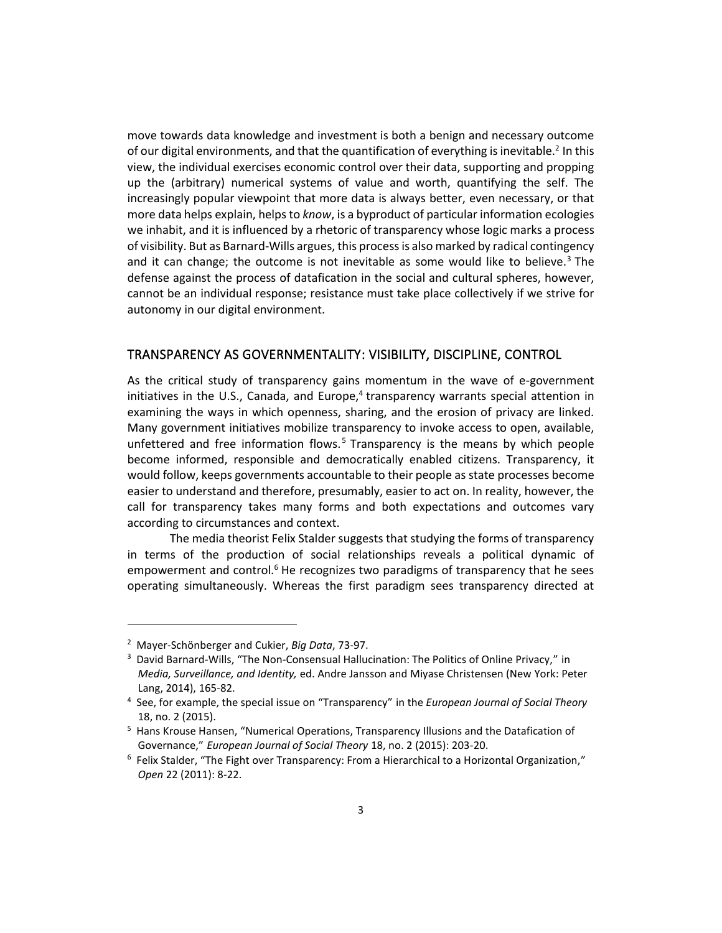move towards data knowledge and investment is both a benign and necessary outcome of our digital environments, and that the quantification of everything is inevitable.<sup>2</sup> In this view, the individual exercises economic control over their data, supporting and propping up the (arbitrary) numerical systems of value and worth, quantifying the self. The increasingly popular viewpoint that more data is always better, even necessary, or that more data helps explain, helps to *know*, is a byproduct of particular information ecologies we inhabit, and it is influenced by a rhetoric of transparency whose logic marks a process of visibility. But as Barnard-Wills argues, this process is also marked by radical contingency and it can change; the outcome is not inevitable as some would like to believe.<sup>3</sup> The defense against the process of datafication in the social and cultural spheres, however, cannot be an individual response; resistance must take place collectively if we strive for autonomy in our digital environment.

## TRANSPARENCY AS GOVERNMENTALITY: VISIBILITY, DISCIPLINE, CONTROL

As the critical study of transparency gains momentum in the wave of e-government initiatives in the U.S., Canada, and Europe,<sup>4</sup> transparency warrants special attention in examining the ways in which openness, sharing, and the erosion of privacy are linked. Many government initiatives mobilize transparency to invoke access to open, available, unfettered and free information flows.<sup>5</sup> Transparency is the means by which people become informed, responsible and democratically enabled citizens. Transparency, it would follow, keeps governments accountable to their people as state processes become easier to understand and therefore, presumably, easier to act on. In reality, however, the call for transparency takes many forms and both expectations and outcomes vary according to circumstances and context.

The media theorist Felix Stalder suggests that studying the forms of transparency in terms of the production of social relationships reveals a political dynamic of empowerment and control.<sup>6</sup> He recognizes two paradigms of transparency that he sees operating simultaneously. Whereas the first paradigm sees transparency directed at

<sup>2</sup> Mayer-Schönberger and Cukier, *Big Data*, 73-97.

<sup>&</sup>lt;sup>3</sup> David Barnard-Wills, "The Non-Consensual Hallucination: The Politics of Online Privacy," in *Media, Surveillance, and Identity,* ed. Andre Jansson and Miyase Christensen (New York: Peter Lang, 2014), 165-82.

<sup>4</sup> See, for example, the special issue on "Transparency" in the *European Journal of Social Theory*  18, no. 2 (2015).

<sup>5</sup> Hans Krouse Hansen, "Numerical Operations, Transparency Illusions and the Datafication of Governance," *European Journal of Social Theory* 18, no. 2 (2015): 203-20.

<sup>&</sup>lt;sup>6</sup> Felix Stalder, "The Fight over Transparency: From a Hierarchical to a Horizontal Organization," *Open* 22 (2011): 8-22.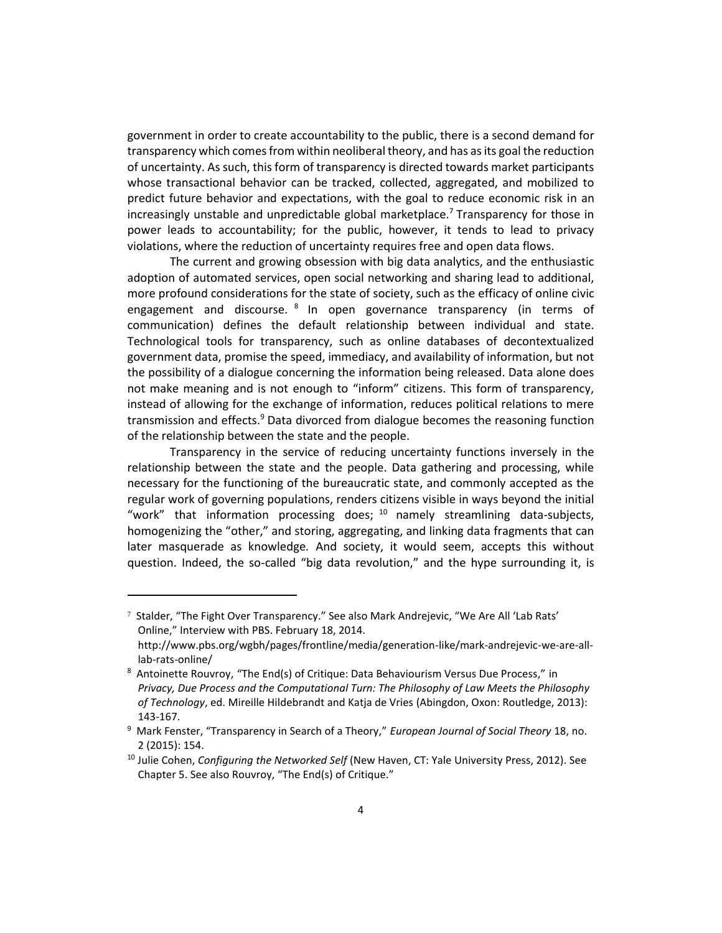government in order to create accountability to the public, there is a second demand for transparency which comes from within neoliberal theory, and has as its goal the reduction of uncertainty. As such, this form of transparency is directed towards market participants whose transactional behavior can be tracked, collected, aggregated, and mobilized to predict future behavior and expectations, with the goal to reduce economic risk in an increasingly unstable and unpredictable global marketplace.<sup>7</sup> Transparency for those in power leads to accountability; for the public, however, it tends to lead to privacy violations, where the reduction of uncertainty requires free and open data flows.

The current and growing obsession with big data analytics, and the enthusiastic adoption of automated services, open social networking and sharing lead to additional, more profound considerations for the state of society, such as the efficacy of online civic engagement and discourse. <sup>8</sup> In open governance transparency (in terms of communication) defines the default relationship between individual and state. Technological tools for transparency, such as online databases of decontextualized government data, promise the speed, immediacy, and availability of information, but not the possibility of a dialogue concerning the information being released. Data alone does not make meaning and is not enough to "inform" citizens. This form of transparency, instead of allowing for the exchange of information, reduces political relations to mere transmission and effects.<sup>9</sup> Data divorced from dialogue becomes the reasoning function of the relationship between the state and the people.

Transparency in the service of reducing uncertainty functions inversely in the relationship between the state and the people. Data gathering and processing, while necessary for the functioning of the bureaucratic state, and commonly accepted as the regular work of governing populations, renders citizens visible in ways beyond the initial "work" that information processing does;  $10$  namely streamlining data-subjects, homogenizing the "other," and storing, aggregating, and linking data fragments that can later masquerade as knowledge*.* And society, it would seem, accepts this without question. Indeed, the so-called "big data revolution," and the hype surrounding it, is

<sup>7</sup> Stalder, "The Fight Over Transparency." See also Mark Andrejevic, "We Are All 'Lab Rats' Online," Interview with PBS. February 18, 2014.

http://www.pbs.org/wgbh/pages/frontline/media/generation-like/mark-andrejevic-we-are-alllab-rats-online/

<sup>&</sup>lt;sup>8</sup> Antoinette Rouvroy, "The End(s) of Critique: Data Behaviourism Versus Due Process," in *Privacy, Due Process and the Computational Turn: The Philosophy of Law Meets the Philosophy of Technology*, ed. Mireille Hildebrandt and Katja de Vries (Abingdon, Oxon: Routledge, 2013): 143-167.

<sup>9</sup> Mark Fenster, "Transparency in Search of a Theory," *European Journal of Social Theory* 18, no. 2 (2015): 154.

<sup>10</sup> Julie Cohen, *Configuring the Networked Self* (New Haven, CT: Yale University Press, 2012). See Chapter 5. See also Rouvroy, "The End(s) of Critique."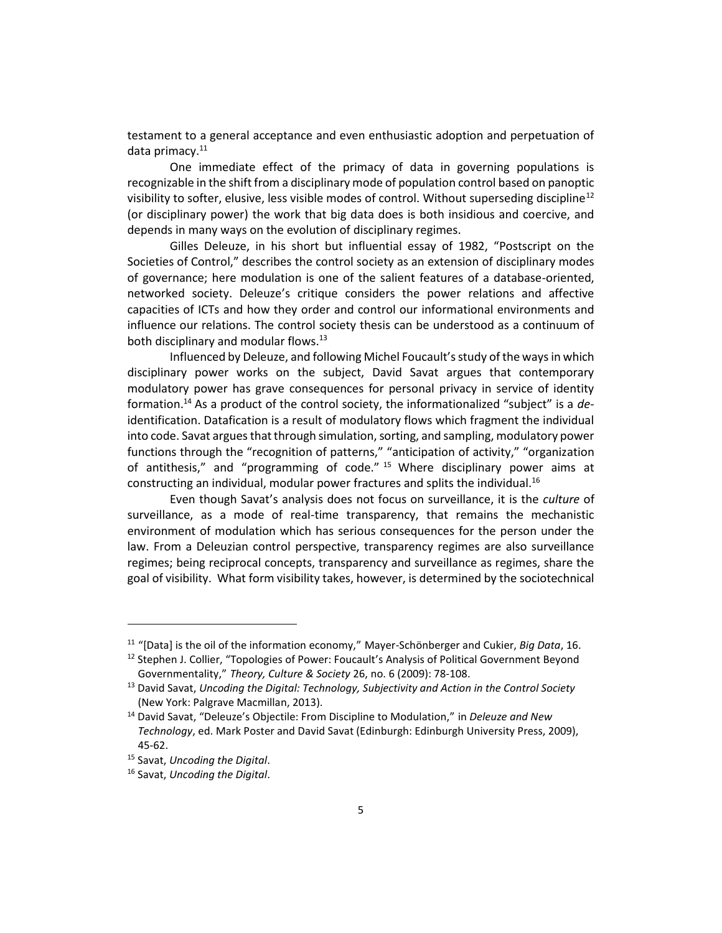testament to a general acceptance and even enthusiastic adoption and perpetuation of data primacy.<sup>11</sup>

One immediate effect of the primacy of data in governing populations is recognizable in the shift from a disciplinary mode of population control based on panoptic visibility to softer, elusive, less visible modes of control. Without superseding discipline<sup>12</sup> (or disciplinary power) the work that big data does is both insidious and coercive, and depends in many ways on the evolution of disciplinary regimes.

Gilles Deleuze, in his short but influential essay of 1982, "Postscript on the Societies of Control," describes the control society as an extension of disciplinary modes of governance; here modulation is one of the salient features of a database-oriented, networked society. Deleuze's critique considers the power relations and affective capacities of ICTs and how they order and control our informational environments and influence our relations. The control society thesis can be understood as a continuum of both disciplinary and modular flows.<sup>13</sup>

Influenced by Deleuze, and following Michel Foucault's study of the ways in which disciplinary power works on the subject, David Savat argues that contemporary modulatory power has grave consequences for personal privacy in service of identity formation.<sup>14</sup> As a product of the control society, the informationalized "subject" is a *de*identification. Datafication is a result of modulatory flows which fragment the individual into code. Savat argues that through simulation, sorting, and sampling, modulatory power functions through the "recognition of patterns," "anticipation of activity," "organization of antithesis," and "programming of code." <sup>15</sup> Where disciplinary power aims at constructing an individual, modular power fractures and splits the individual.<sup>16</sup>

Even though Savat's analysis does not focus on surveillance, it is the *culture* of surveillance, as a mode of real-time transparency, that remains the mechanistic environment of modulation which has serious consequences for the person under the law. From a Deleuzian control perspective, transparency regimes are also surveillance regimes; being reciprocal concepts, transparency and surveillance as regimes, share the goal of visibility. What form visibility takes, however, is determined by the sociotechnical

<sup>11</sup> "[Data] is the oil of the information economy," Mayer-Schönberger and Cukier, *Big Data*, 16.

<sup>&</sup>lt;sup>12</sup> Stephen J. Collier, "Topologies of Power: Foucault's Analysis of Political Government Beyond Governmentality," *Theory, Culture & Society* 26, no. 6 (2009): 78-108.

<sup>13</sup> David Savat, *Uncoding the Digital: Technology, Subjectivity and Action in the Control Society*  (New York: Palgrave Macmillan, 2013).

<sup>14</sup> David Savat, "Deleuze's Objectile: From Discipline to Modulation," in *Deleuze and New Technology*, ed. Mark Poster and David Savat (Edinburgh: Edinburgh University Press, 2009), 45-62.

<sup>15</sup> Savat, *Uncoding the Digital*.

<sup>16</sup> Savat, *Uncoding the Digital*.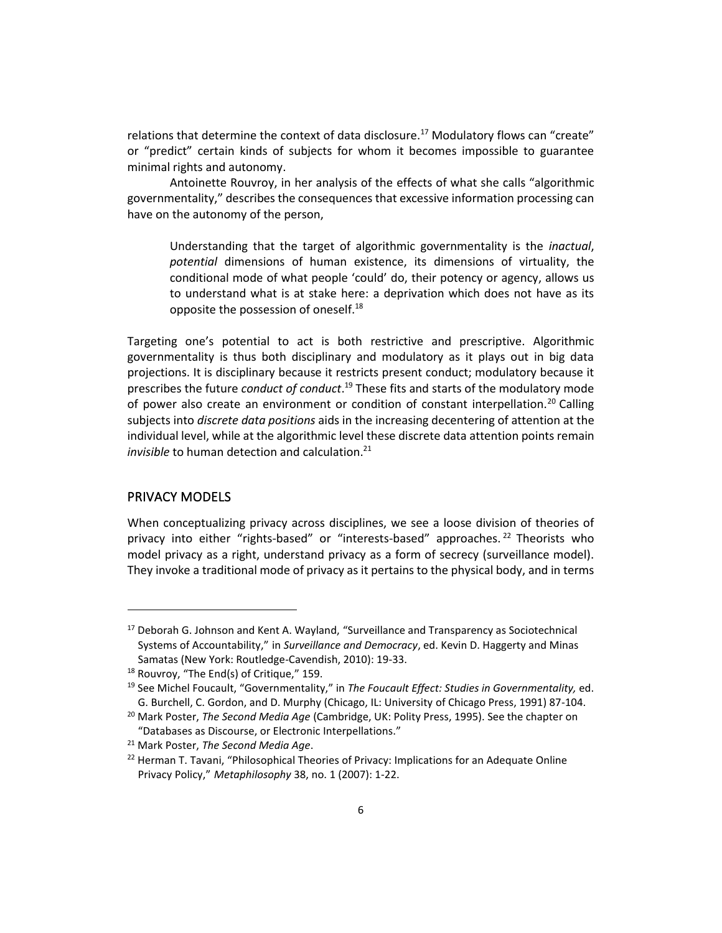relations that determine the context of data disclosure.<sup>17</sup> Modulatory flows can "create" or "predict" certain kinds of subjects for whom it becomes impossible to guarantee minimal rights and autonomy.

Antoinette Rouvroy, in her analysis of the effects of what she calls "algorithmic governmentality," describes the consequences that excessive information processing can have on the autonomy of the person,

Understanding that the target of algorithmic governmentality is the *inactual*, *potential* dimensions of human existence, its dimensions of virtuality, the conditional mode of what people 'could' do, their potency or agency, allows us to understand what is at stake here: a deprivation which does not have as its opposite the possession of oneself.<sup>18</sup>

Targeting one's potential to act is both restrictive and prescriptive. Algorithmic governmentality is thus both disciplinary and modulatory as it plays out in big data projections. It is disciplinary because it restricts present conduct; modulatory because it prescribes the future *conduct of conduct*. <sup>19</sup> These fits and starts of the modulatory mode of power also create an environment or condition of constant interpellation.<sup>20</sup> Calling subjects into *discrete data positions* aids in the increasing decentering of attention at the individual level, while at the algorithmic level these discrete data attention points remain *invisible* to human detection and calculation.<sup>21</sup>

### PRIVACY MODELS

When conceptualizing privacy across disciplines, we see a loose division of theories of privacy into either "rights-based" or "interests-based" approaches.<sup>22</sup> Theorists who model privacy as a right, understand privacy as a form of secrecy (surveillance model). They invoke a traditional mode of privacy as it pertains to the physical body, and in terms

<sup>&</sup>lt;sup>17</sup> Deborah G. Johnson and Kent A. Wayland, "Surveillance and Transparency as Sociotechnical Systems of Accountability," in *Surveillance and Democracy*, ed. Kevin D. Haggerty and Minas Samatas (New York: Routledge-Cavendish, 2010): 19-33.

<sup>18</sup> Rouvroy, "The End(s) of Critique," 159.

<sup>19</sup> See Michel Foucault, "Governmentality," in *The Foucault Effect: Studies in Governmentality,* ed. G. Burchell, C. Gordon, and D. Murphy (Chicago, IL: University of Chicago Press, 1991) 87-104.

<sup>20</sup> Mark Poster, *The Second Media Age* (Cambridge, UK: Polity Press, 1995). See the chapter on "Databases as Discourse, or Electronic Interpellations."

<sup>21</sup> Mark Poster, *The Second Media Age*.

<sup>&</sup>lt;sup>22</sup> Herman T. Tavani, "Philosophical Theories of Privacy: Implications for an Adequate Online Privacy Policy," *Metaphilosophy* 38, no. 1 (2007): 1-22.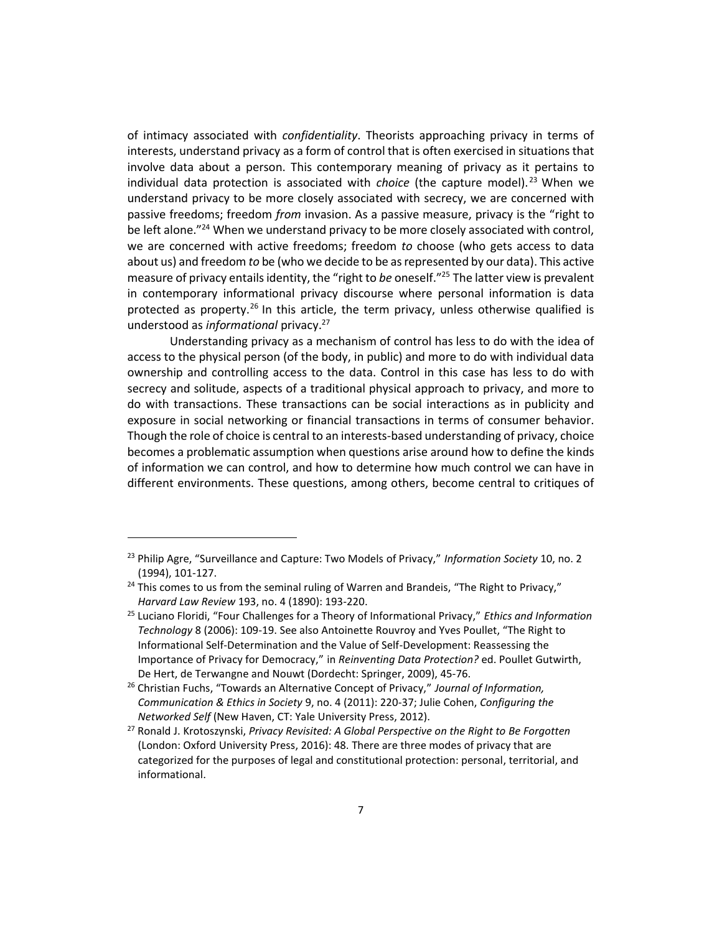of intimacy associated with *confidentiality*. Theorists approaching privacy in terms of interests, understand privacy as a form of control that is often exercised in situations that involve data about a person. This contemporary meaning of privacy as it pertains to individual data protection is associated with *choice* (the capture model).<sup>23</sup> When we understand privacy to be more closely associated with secrecy, we are concerned with passive freedoms; freedom *from* invasion. As a passive measure, privacy is the "right to be left alone."<sup>24</sup> When we understand privacy to be more closely associated with control, we are concerned with active freedoms; freedom *to* choose (who gets access to data about us) and freedom *to* be (who we decide to be as represented by our data). This active measure of privacy entails identity, the "right to *be* oneself."<sup>25</sup> The latter view is prevalent in contemporary informational privacy discourse where personal information is data protected as property.<sup>26</sup> In this article, the term privacy, unless otherwise qualified is understood as *informational* privacy.<sup>27</sup>

Understanding privacy as a mechanism of control has less to do with the idea of access to the physical person (of the body, in public) and more to do with individual data ownership and controlling access to the data. Control in this case has less to do with secrecy and solitude, aspects of a traditional physical approach to privacy, and more to do with transactions. These transactions can be social interactions as in publicity and exposure in social networking or financial transactions in terms of consumer behavior. Though the role of choice is central to an interests-based understanding of privacy, choice becomes a problematic assumption when questions arise around how to define the kinds of information we can control, and how to determine how much control we can have in different environments. These questions, among others, become central to critiques of

<sup>23</sup> Philip Agre, "Surveillance and Capture: Two Models of Privacy," *Information Society* 10, no. 2 (1994), 101-127.

<sup>&</sup>lt;sup>24</sup> This comes to us from the seminal ruling of Warren and Brandeis, "The Right to Privacy," *Harvard Law Review* 193, no. 4 (1890): 193-220.

<sup>25</sup> Luciano Floridi, "Four Challenges for a Theory of Informational Privacy," *Ethics and Information Technology* 8 (2006): 109-19. See also Antoinette Rouvroy and Yves Poullet, "The Right to Informational Self-Determination and the Value of Self-Development: Reassessing the Importance of Privacy for Democracy," in *Reinventing Data Protection?* ed. Poullet Gutwirth, De Hert, de Terwangne and Nouwt (Dordecht: Springer, 2009), 45-76.

<sup>26</sup> Christian Fuchs, "Towards an Alternative Concept of Privacy," *Journal of Information, Communication & Ethics in Society* 9, no. 4 (2011): 220-37; Julie Cohen, *Configuring the Networked Self* (New Haven, CT: Yale University Press, 2012).

<sup>27</sup> Ronald J. Krotoszynski, *Privacy Revisited: A Global Perspective on the Right to Be Forgotten* (London: Oxford University Press, 2016): 48. There are three modes of privacy that are categorized for the purposes of legal and constitutional protection: personal, territorial, and informational.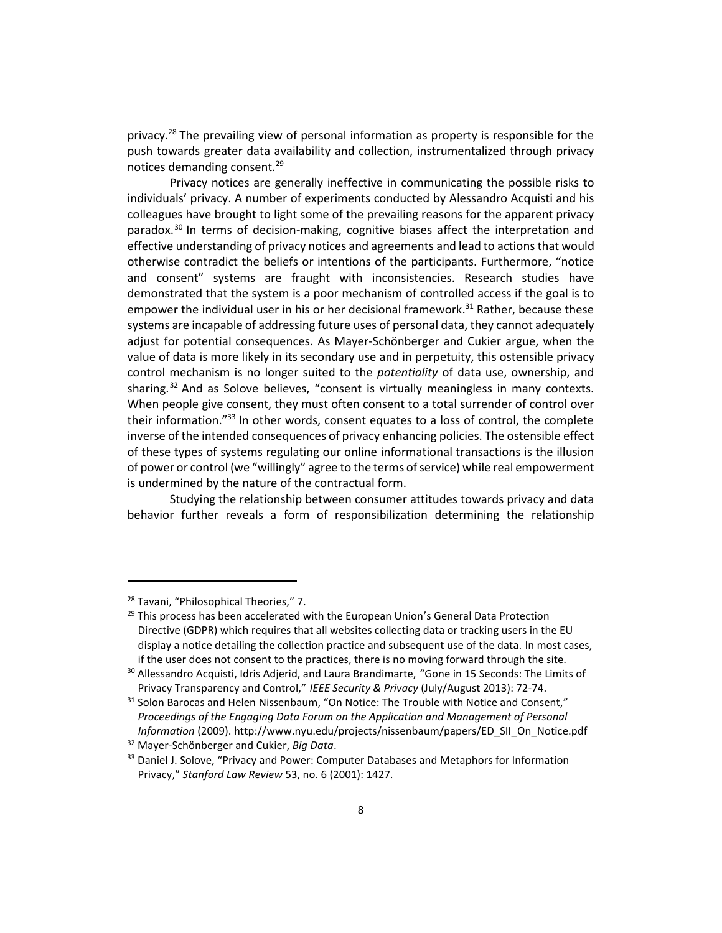privacy.<sup>28</sup> The prevailing view of personal information as property is responsible for the push towards greater data availability and collection, instrumentalized through privacy notices demanding consent.<sup>29</sup>

Privacy notices are generally ineffective in communicating the possible risks to individuals' privacy. A number of experiments conducted by Alessandro Acquisti and his colleagues have brought to light some of the prevailing reasons for the apparent privacy paradox.<sup>30</sup> In terms of decision-making, cognitive biases affect the interpretation and effective understanding of privacy notices and agreements and lead to actions that would otherwise contradict the beliefs or intentions of the participants. Furthermore, "notice and consent" systems are fraught with inconsistencies. Research studies have demonstrated that the system is a poor mechanism of controlled access if the goal is to empower the individual user in his or her decisional framework.<sup>31</sup> Rather, because these systems are incapable of addressing future uses of personal data, they cannot adequately adjust for potential consequences. As Mayer-Schönberger and Cukier argue, when the value of data is more likely in its secondary use and in perpetuity, this ostensible privacy control mechanism is no longer suited to the *potentiality* of data use, ownership, and sharing.<sup>32</sup> And as Solove believes, "consent is virtually meaningless in many contexts. When people give consent, they must often consent to a total surrender of control over their information."<sup>33</sup> In other words, consent equates to a loss of control, the complete inverse of the intended consequences of privacy enhancing policies. The ostensible effect of these types of systems regulating our online informational transactions is the illusion of power or control (we "willingly" agree to the terms of service) while real empowerment is undermined by the nature of the contractual form.

Studying the relationship between consumer attitudes towards privacy and data behavior further reveals a form of responsibilization determining the relationship

<sup>&</sup>lt;sup>28</sup> Tavani, "Philosophical Theories," 7.

<sup>&</sup>lt;sup>29</sup> This process has been accelerated with the European Union's General Data Protection Directive (GDPR) which requires that all websites collecting data or tracking users in the EU display a notice detailing the collection practice and subsequent use of the data. In most cases, if the user does not consent to the practices, there is no moving forward through the site.

<sup>&</sup>lt;sup>30</sup> Allessandro Acquisti, Idris Adjerid, and Laura Brandimarte, "Gone in 15 Seconds: The Limits of Privacy Transparency and Control," *IEEE Security & Privacy* (July/August 2013): 72-74.

 $31$  Solon Barocas and Helen Nissenbaum, "On Notice: The Trouble with Notice and Consent," *Proceedings of the Engaging Data Forum on the Application and Management of Personal Information* (2009). http://www.nyu.edu/projects/nissenbaum/papers/ED\_SII\_On\_Notice.pdf

<sup>32</sup> Mayer-Schönberger and Cukier, *Big Data*.

<sup>&</sup>lt;sup>33</sup> Daniel J. Solove, "Privacy and Power: Computer Databases and Metaphors for Information Privacy," *Stanford Law Review* 53, no. 6 (2001): 1427.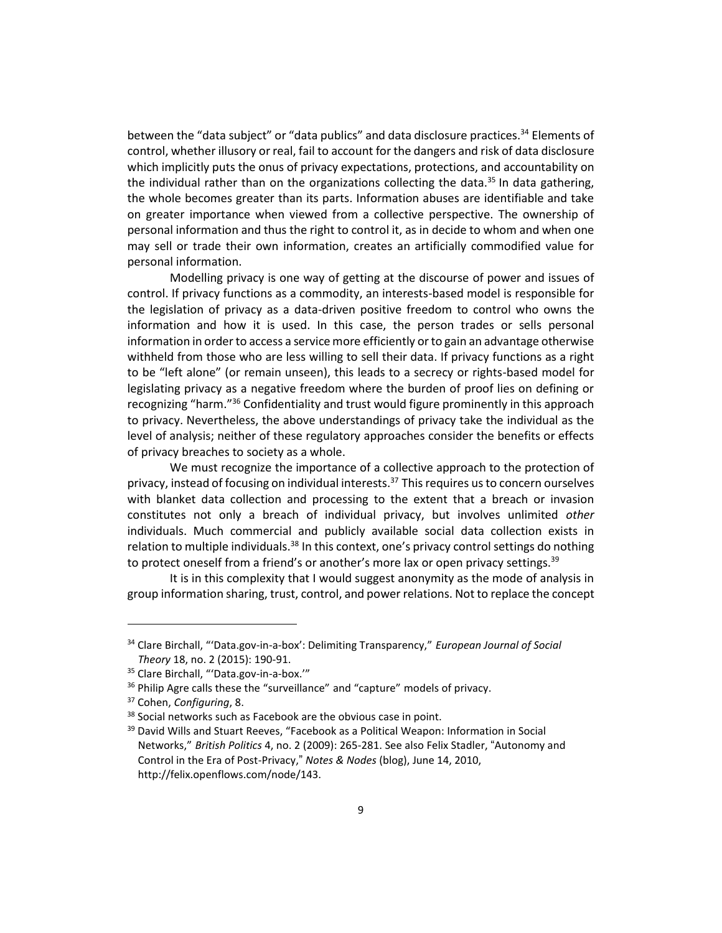between the "data subject" or "data publics" and data disclosure practices.<sup>34</sup> Elements of control, whether illusory or real, fail to account for the dangers and risk of data disclosure which implicitly puts the onus of privacy expectations, protections, and accountability on the individual rather than on the organizations collecting the data.<sup>35</sup> In data gathering, the whole becomes greater than its parts. Information abuses are identifiable and take on greater importance when viewed from a collective perspective. The ownership of personal information and thus the right to control it, as in decide to whom and when one may sell or trade their own information, creates an artificially commodified value for personal information.

Modelling privacy is one way of getting at the discourse of power and issues of control. If privacy functions as a commodity, an interests-based model is responsible for the legislation of privacy as a data-driven positive freedom to control who owns the information and how it is used. In this case, the person trades or sells personal information in order to access a service more efficiently or to gain an advantage otherwise withheld from those who are less willing to sell their data. If privacy functions as a right to be "left alone" (or remain unseen), this leads to a secrecy or rights-based model for legislating privacy as a negative freedom where the burden of proof lies on defining or recognizing "harm."<sup>36</sup> Confidentiality and trust would figure prominently in this approach to privacy. Nevertheless, the above understandings of privacy take the individual as the level of analysis; neither of these regulatory approaches consider the benefits or effects of privacy breaches to society as a whole.

We must recognize the importance of a collective approach to the protection of privacy, instead of focusing on individual interests.<sup>37</sup> This requires us to concern ourselves with blanket data collection and processing to the extent that a breach or invasion constitutes not only a breach of individual privacy, but involves unlimited *other* individuals. Much commercial and publicly available social data collection exists in relation to multiple individuals.<sup>38</sup> In this context, one's privacy control settings do nothing to protect oneself from a friend's or another's more lax or open privacy settings.<sup>39</sup>

It is in this complexity that I would suggest anonymity as the mode of analysis in group information sharing, trust, control, and power relations. Not to replace the concept

<sup>34</sup> Clare Birchall, "'Data.gov-in-a-box': Delimiting Transparency," *European Journal of Social Theory* 18, no. 2 (2015): 190-91.

<sup>&</sup>lt;sup>35</sup> Clare Birchall, "'Data.gov-in-a-box.'"

<sup>&</sup>lt;sup>36</sup> Philip Agre calls these the "surveillance" and "capture" models of privacy.

<sup>37</sup> Cohen, *Configuring*, 8.

<sup>&</sup>lt;sup>38</sup> Social networks such as Facebook are the obvious case in point.

<sup>&</sup>lt;sup>39</sup> David Wills and Stuart Reeves, "Facebook as a Political Weapon: Information in Social Networks," *British Politics* 4, no. 2 (2009): 265-281. See also Felix Stadler, "Autonomy and Control in the Era of Post-Privacy," *Notes & Nodes* (blog), June 14, 2010, http://felix.openflows.com/node/143.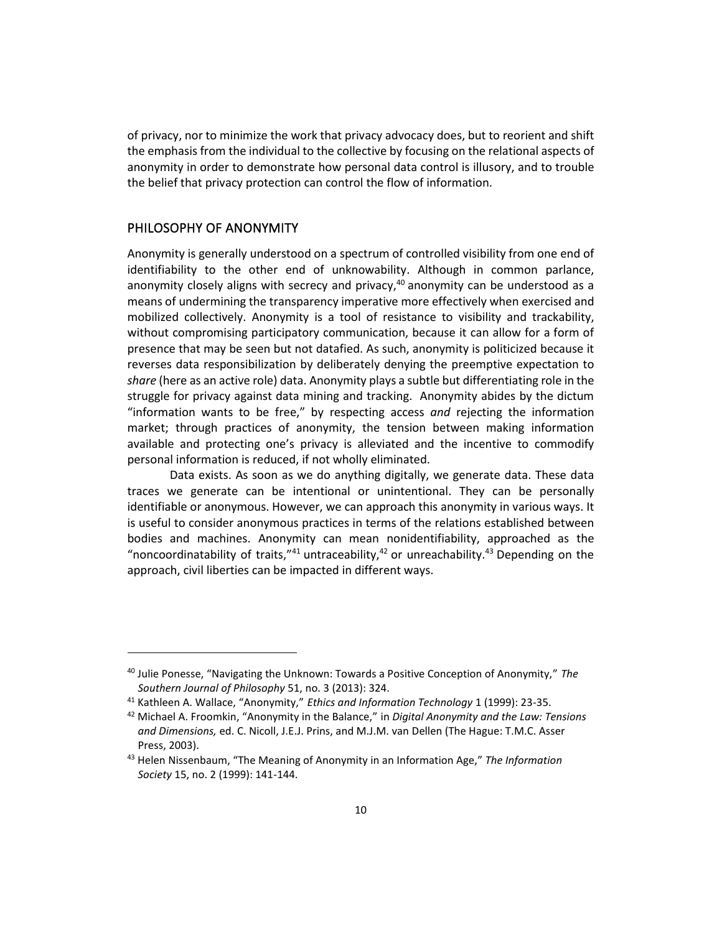of privacy, nor to minimize the work that privacy advocacy does, but to reorient and shift the emphasis from the individual to the collective by focusing on the relational aspects of anonymity in order to demonstrate how personal data control is illusory, and to trouble the belief that privacy protection can control the flow of information.

## PHILOSOPHY OF ANONYMITY

Anonymity is generally understood on a spectrum of controlled visibility from one end of identifiability to the other end of unknowability. Although in common parlance, anonymity closely aligns with secrecy and privacy, $40$  anonymity can be understood as a means of undermining the transparency imperative more effectively when exercised and mobilized collectively. Anonymity is a tool of resistance to visibility and trackability, without compromising participatory communication, because it can allow for a form of presence that may be seen but not datafied. As such, anonymity is politicized because it reverses data responsibilization by deliberately denying the preemptive expectation to *share* (here as an active role) data. Anonymity plays a subtle but differentiating role in the struggle for privacy against data mining and tracking. Anonymity abides by the dictum "information wants to be free," by respecting access *and* rejecting the information market; through practices of anonymity, the tension between making information available and protecting one's privacy is alleviated and the incentive to commodify personal information is reduced, if not wholly eliminated.

Data exists. As soon as we do anything digitally, we generate data. These data traces we generate can be intentional or unintentional. They can be personally identifiable or anonymous. However, we can approach this anonymity in various ways. It is useful to consider anonymous practices in terms of the relations established between bodies and machines. Anonymity can mean nonidentifiability, approached as the "noncoordinatability of traits," $41$  untraceability, $42$  or unreachability. $43$  Depending on the approach, civil liberties can be impacted in different ways.

<sup>40</sup> Julie Ponesse, "Navigating the Unknown: Towards a Positive Conception of Anonymity," *The Southern Journal of Philosophy* 51, no. 3 (2013): 324.

<sup>41</sup> Kathleen A. Wallace, "Anonymity," *Ethics and Information Technology* 1 (1999): 23-35.

<sup>42</sup> Michael A. Froomkin, "Anonymity in the Balance," in *Digital Anonymity and the Law: Tensions and Dimensions,* ed. C. Nicoll, J.E.J. Prins, and M.J.M. van Dellen (The Hague: T.M.C. Asser Press, 2003).

<sup>43</sup> Helen Nissenbaum, "The Meaning of Anonymity in an Information Age," *The Information Society* 15, no. 2 (1999): 141-144.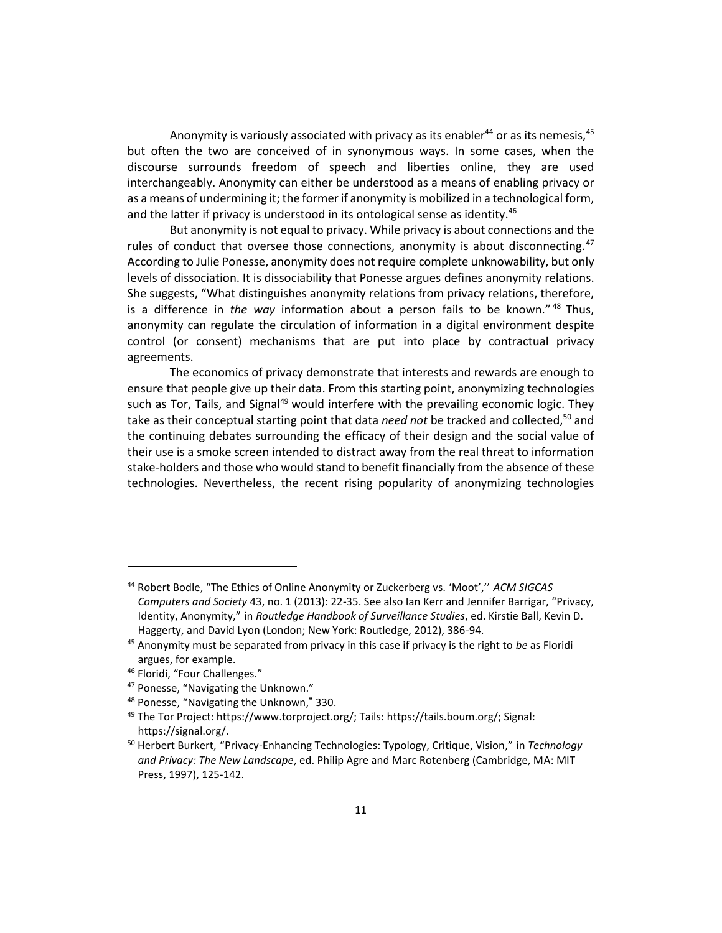Anonymity is variously associated with privacy as its enabler<sup>44</sup> or as its nemesis,  $45$ but often the two are conceived of in synonymous ways. In some cases, when the discourse surrounds freedom of speech and liberties online, they are used interchangeably. Anonymity can either be understood as a means of enabling privacy or as a means of undermining it; the former if anonymity is mobilized in a technological form, and the latter if privacy is understood in its ontological sense as identity.<sup>46</sup>

But anonymity is not equal to privacy. While privacy is about connections and the rules of conduct that oversee those connections, anonymity is about disconnecting. $47$ According to Julie Ponesse, anonymity does not require complete unknowability, but only levels of dissociation. It is dissociability that Ponesse argues defines anonymity relations. She suggests, "What distinguishes anonymity relations from privacy relations, therefore, is a difference in *the way* information about a person fails to be known." <sup>48</sup> Thus, anonymity can regulate the circulation of information in a digital environment despite control (or consent) mechanisms that are put into place by contractual privacy agreements.

The economics of privacy demonstrate that interests and rewards are enough to ensure that people give up their data. From this starting point, anonymizing technologies such as Tor, Tails, and Signal<sup>49</sup> would interfere with the prevailing economic logic. They take as their conceptual starting point that data *need not* be tracked and collected,<sup>50</sup> and the continuing debates surrounding the efficacy of their design and the social value of their use is a smoke screen intended to distract away from the real threat to information stake-holders and those who would stand to benefit financially from the absence of these technologies. Nevertheless, the recent rising popularity of anonymizing technologies

<sup>44</sup> Robert Bodle, "The Ethics of Online Anonymity or Zuckerberg vs. 'Moot','' *ACM SIGCAS Computers and Society* 43, no. 1 (2013): 22-35. See also Ian Kerr and Jennifer Barrigar, "Privacy, Identity, Anonymity," in *Routledge Handbook of Surveillance Studies*, ed. Kirstie Ball, Kevin D. Haggerty, and David Lyon (London; New York: Routledge, 2012), 386-94.

<sup>45</sup> Anonymity must be separated from privacy in this case if privacy is the right to *be* as Floridi argues, for example.

<sup>46</sup> Floridi, "Four Challenges."

<sup>47</sup> Ponesse, "Navigating the Unknown."

<sup>48</sup> Ponesse, "Navigating the Unknown," 330.

<sup>49</sup> The Tor Project: https://www.torproject.org/; Tails: https://tails.boum.org/; Signal: https://signal.org/.

<sup>50</sup> Herbert Burkert, "Privacy-Enhancing Technologies: Typology, Critique, Vision," in *Technology and Privacy: The New Landscape*, ed. Philip Agre and Marc Rotenberg (Cambridge, MA: MIT Press, 1997), 125-142.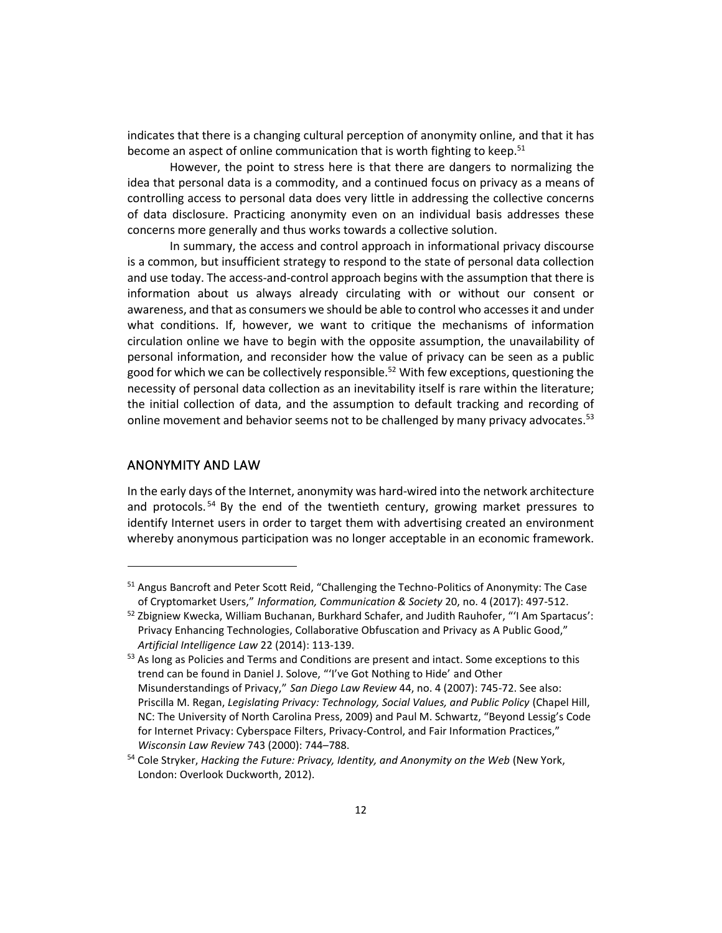indicates that there is a changing cultural perception of anonymity online, and that it has become an aspect of online communication that is worth fighting to keep.<sup>51</sup>

However, the point to stress here is that there are dangers to normalizing the idea that personal data is a commodity, and a continued focus on privacy as a means of controlling access to personal data does very little in addressing the collective concerns of data disclosure. Practicing anonymity even on an individual basis addresses these concerns more generally and thus works towards a collective solution.

In summary, the access and control approach in informational privacy discourse is a common, but insufficient strategy to respond to the state of personal data collection and use today. The access-and-control approach begins with the assumption that there is information about us always already circulating with or without our consent or awareness, and that as consumers we should be able to control who accesses it and under what conditions. If, however, we want to critique the mechanisms of information circulation online we have to begin with the opposite assumption, the unavailability of personal information, and reconsider how the value of privacy can be seen as a public good for which we can be collectively responsible.<sup>52</sup> With few exceptions, questioning the necessity of personal data collection as an inevitability itself is rare within the literature; the initial collection of data, and the assumption to default tracking and recording of online movement and behavior seems not to be challenged by many privacy advocates. $53$ 

#### ANONYMITY AND LAW

In the early days of the Internet, anonymity was hard-wired into the network architecture and protocols.<sup>54</sup> By the end of the twentieth century, growing market pressures to identify Internet users in order to target them with advertising created an environment whereby anonymous participation was no longer acceptable in an economic framework.

<sup>&</sup>lt;sup>51</sup> Angus Bancroft and Peter Scott Reid, "Challenging the Techno-Politics of Anonymity: The Case of Cryptomarket Users," *Information, Communication & Society* 20, no. 4 (2017): 497-512.

 $52$  Zbigniew Kwecka, William Buchanan, Burkhard Schafer, and Judith Rauhofer, "'I Am Spartacus': Privacy Enhancing Technologies, Collaborative Obfuscation and Privacy as A Public Good," *Artificial Intelligence Law* 22 (2014): 113-139.

<sup>53</sup> As long as Policies and Terms and Conditions are present and intact. Some exceptions to this trend can be found in Daniel J. Solove, "'I've Got Nothing to Hide' and Other Misunderstandings of Privacy," *San Diego Law Review* 44, no. 4 (2007): 745-72. See also: Priscilla M. Regan, *Legislating Privacy: Technology, Social Values, and Public Policy* (Chapel Hill, NC: The University of North Carolina Press, 2009) and Paul M. Schwartz, "Beyond Lessig's Code for Internet Privacy: Cyberspace Filters, Privacy-Control, and Fair Information Practices," *Wisconsin Law Review* 743 (2000): 744–788.

<sup>&</sup>lt;sup>54</sup> Cole Stryker, *Hacking the Future: Privacy, Identity, and Anonymity on the Web (New York,* London: Overlook Duckworth, 2012).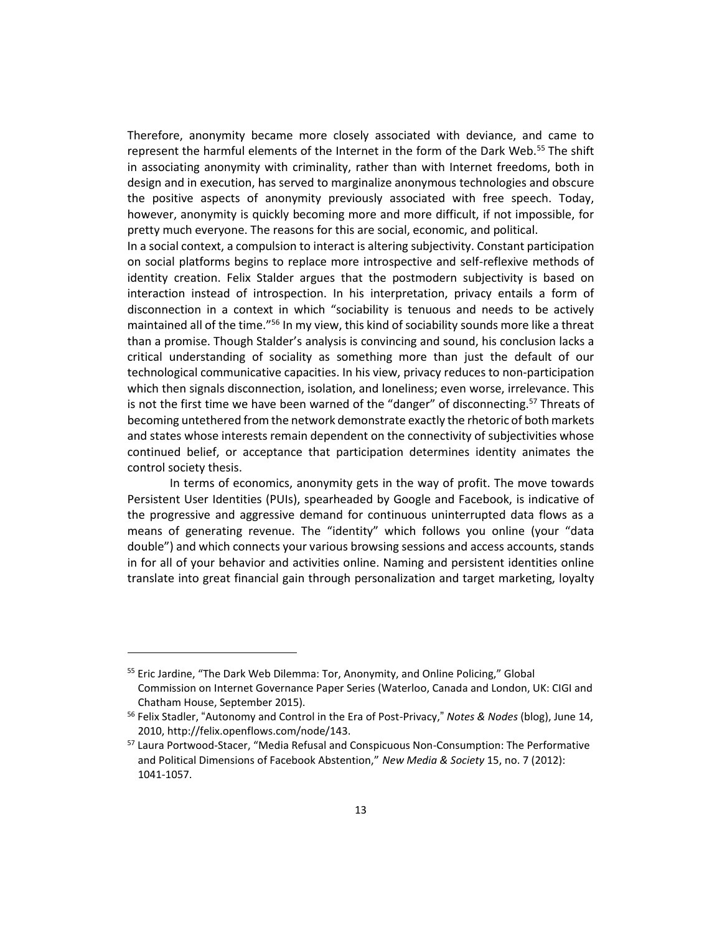Therefore, anonymity became more closely associated with deviance, and came to represent the harmful elements of the Internet in the form of the Dark Web.<sup>55</sup> The shift in associating anonymity with criminality, rather than with Internet freedoms, both in design and in execution, has served to marginalize anonymous technologies and obscure the positive aspects of anonymity previously associated with free speech. Today, however, anonymity is quickly becoming more and more difficult, if not impossible, for pretty much everyone. The reasons for this are social, economic, and political.

In a social context, a compulsion to interact is altering subjectivity. Constant participation on social platforms begins to replace more introspective and self-reflexive methods of identity creation. Felix Stalder argues that the postmodern subjectivity is based on interaction instead of introspection. In his interpretation, privacy entails a form of disconnection in a context in which "sociability is tenuous and needs to be actively maintained all of the time."<sup>56</sup> In my view, this kind of sociability sounds more like a threat than a promise. Though Stalder's analysis is convincing and sound, his conclusion lacks a critical understanding of sociality as something more than just the default of our technological communicative capacities. In his view, privacy reduces to non-participation which then signals disconnection, isolation, and loneliness; even worse, irrelevance. This is not the first time we have been warned of the "danger" of disconnecting.<sup>57</sup> Threats of becoming untethered from the network demonstrate exactly the rhetoric of both markets and states whose interests remain dependent on the connectivity of subjectivities whose continued belief, or acceptance that participation determines identity animates the control society thesis.

In terms of economics, anonymity gets in the way of profit. The move towards Persistent User Identities (PUIs), spearheaded by Google and Facebook, is indicative of the progressive and aggressive demand for continuous uninterrupted data flows as a means of generating revenue. The "identity" which follows you online (your "data double") and which connects your various browsing sessions and access accounts, stands in for all of your behavior and activities online. Naming and persistent identities online translate into great financial gain through personalization and target marketing, loyalty

<sup>&</sup>lt;sup>55</sup> Eric Jardine, "The Dark Web Dilemma: Tor, Anonymity, and Online Policing," Global Commission on Internet Governance Paper Series (Waterloo, Canada and London, UK: CIGI and Chatham House, September 2015).

<sup>56</sup> Felix Stadler, "Autonomy and Control in the Era of Post-Privacy," *Notes & Nodes* (blog), June 14, 2010, http://felix.openflows.com/node/143.

<sup>&</sup>lt;sup>57</sup> Laura Portwood-Stacer, "Media Refusal and Conspicuous Non-Consumption: The Performative and Political Dimensions of Facebook Abstention," *New Media & Society* 15, no. 7 (2012): 1041-1057.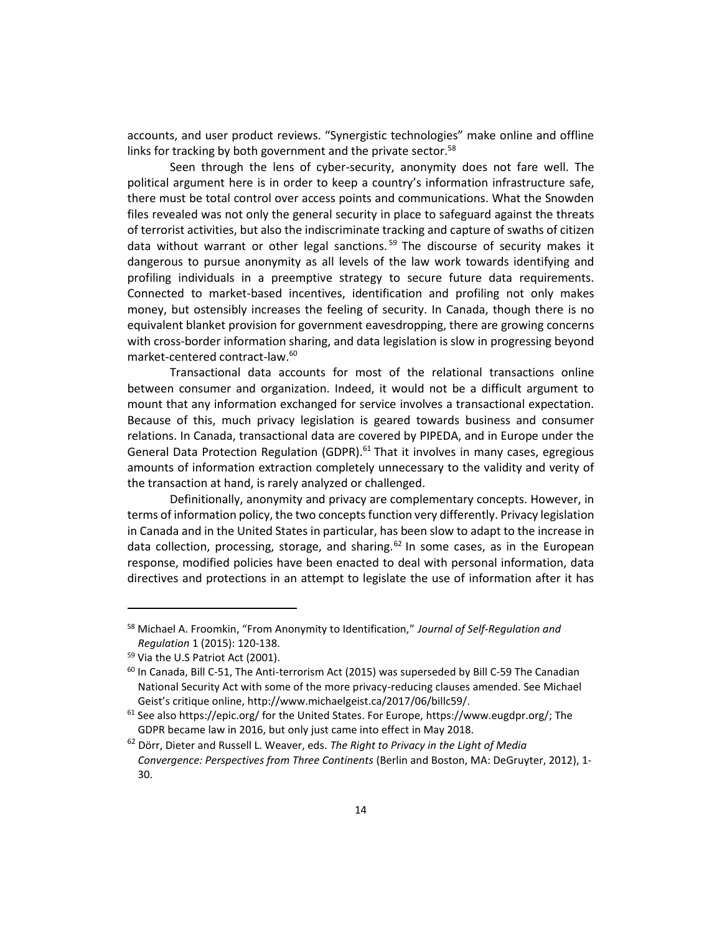accounts, and user product reviews. "Synergistic technologies" make online and offline links for tracking by both government and the private sector. $58$ 

Seen through the lens of cyber-security, anonymity does not fare well. The political argument here is in order to keep a country's information infrastructure safe, there must be total control over access points and communications. What the Snowden files revealed was not only the general security in place to safeguard against the threats of terrorist activities, but also the indiscriminate tracking and capture of swaths of citizen data without warrant or other legal sanctions.<sup>59</sup> The discourse of security makes it dangerous to pursue anonymity as all levels of the law work towards identifying and profiling individuals in a preemptive strategy to secure future data requirements. Connected to market-based incentives, identification and profiling not only makes money, but ostensibly increases the feeling of security. In Canada, though there is no equivalent blanket provision for government eavesdropping, there are growing concerns with cross-border information sharing, and data legislation is slow in progressing beyond market-centered contract-law.<sup>60</sup>

Transactional data accounts for most of the relational transactions online between consumer and organization. Indeed, it would not be a difficult argument to mount that any information exchanged for service involves a transactional expectation. Because of this, much privacy legislation is geared towards business and consumer relations. In Canada, transactional data are covered by PIPEDA, and in Europe under the General Data Protection Regulation (GDPR).<sup>61</sup> That it involves in many cases, egregious amounts of information extraction completely unnecessary to the validity and verity of the transaction at hand, is rarely analyzed or challenged.

Definitionally, anonymity and privacy are complementary concepts. However, in terms of information policy, the two concepts function very differently. Privacy legislation in Canada and in the United States in particular, has been slow to adapt to the increase in data collection, processing, storage, and sharing.<sup>62</sup> In some cases, as in the European response, modified policies have been enacted to deal with personal information, data directives and protections in an attempt to legislate the use of information after it has

<sup>58</sup> Michael A. Froomkin, "From Anonymity to Identification," *Journal of Self-Regulation and Regulation* 1 (2015): 120-138.

<sup>59</sup> Via the U.S Patriot Act (2001).

 $<sup>60</sup>$  In Canada, Bill C-51, The Anti-terrorism Act (2015) was superseded by Bill C-59 The Canadian</sup> National Security Act with some of the more privacy-reducing clauses amended. See Michael Geist's critique online, http://www.michaelgeist.ca/2017/06/billc59/.

<sup>&</sup>lt;sup>61</sup> See also https://epic.org/ for the United States. For Europe, https://www.eugdpr.org/; The GDPR became law in 2016, but only just came into effect in May 2018.

<sup>62</sup> Dörr, Dieter and Russell L. Weaver, eds. *The Right to Privacy in the Light of Media Convergence: Perspectives from Three Continents* (Berlin and Boston, MA: DeGruyter, 2012), 1- 30.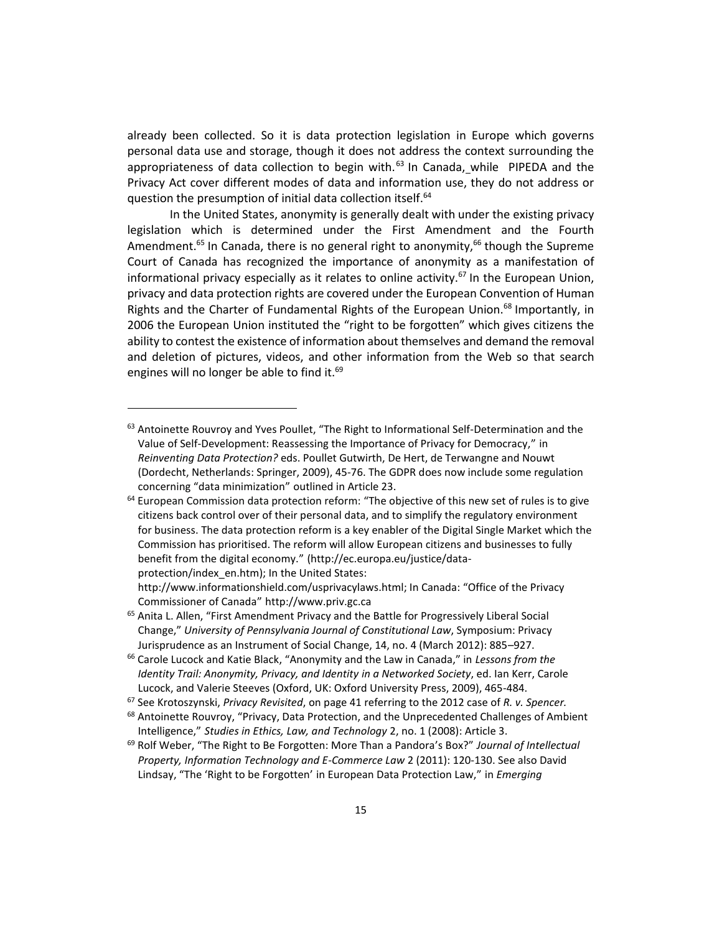already been collected. So it is data protection legislation in Europe which governs personal data use and storage, though it does not address the context surrounding the appropriateness of data collection to begin with. $^{63}$  In Canada, while PIPEDA and the Privacy Act cover different modes of data and information use, they do not address or question the presumption of initial data collection itself.<sup>64</sup>

In the United States, anonymity is generally dealt with under the existing privacy legislation which is determined under the First Amendment and the Fourth Amendment.<sup>65</sup> In Canada, there is no general right to anonymity,<sup>66</sup> though the Supreme Court of Canada has recognized the importance of anonymity as a manifestation of informational privacy especially as it relates to online activity.<sup>67</sup> In the European Union, privacy and data protection rights are covered under the European Convention of Human Rights and the Charter of Fundamental Rights of the European Union.<sup>68</sup> Importantly, in 2006 the European Union instituted the "right to be forgotten" which gives citizens the ability to contest the existence of information about themselves and demand the removal and deletion of pictures, videos, and other information from the Web so that search engines will no longer be able to find it. $69$ 

http://www.informationshield.com/usprivacylaws.html; In Canada: "Office of the Privacy Commissioner of Canada" http://www.priv.gc.ca

 $63$  Antoinette Rouvroy and Yves Poullet, "The Right to Informational Self-Determination and the Value of Self-Development: Reassessing the Importance of Privacy for Democracy," in *Reinventing Data Protection?* eds. Poullet Gutwirth, De Hert, de Terwangne and Nouwt (Dordecht, Netherlands: Springer, 2009), 45-76. The GDPR does now include some regulation concerning "data minimization" outlined in Article 23.

 $64$  European Commission data protection reform: "The objective of this new set of rules is to give citizens back control over of their personal data, and to simplify the regulatory environment for business. The data protection reform is a key enabler of the Digital Single Market which the Commission has prioritised. The reform will allow European citizens and businesses to fully benefit from the digital economy." (http://ec.europa.eu/justice/dataprotection/index\_en.htm); In the United States:

<sup>&</sup>lt;sup>65</sup> Anita L. Allen, "First Amendment Privacy and the Battle for Progressively Liberal Social Change," *University of Pennsylvania Journal of Constitutional Law*, Symposium: Privacy Jurisprudence as an Instrument of Social Change, 14, no. 4 (March 2012): 885–927.

<sup>66</sup> Carole Lucock and Katie Black, "Anonymity and the Law in Canada," in *Lessons from the Identity Trail: Anonymity, Privacy, and Identity in a Networked Society*, ed. Ian Kerr, Carole Lucock, and Valerie Steeves (Oxford, UK: Oxford University Press, 2009), 465-484.

<sup>67</sup> See Krotoszynski, *Privacy Revisited*, on page 41 referring to the 2012 case of *R. v. Spencer.*

 $68$  Antoinette Rouvroy, "Privacy, Data Protection, and the Unprecedented Challenges of Ambient Intelligence," *Studies in Ethics, Law, and Technology* 2, no. 1 (2008): Article 3.

<sup>69</sup> Rolf Weber, "The Right to Be Forgotten: More Than a Pandora's Box?" *Journal of Intellectual Property, Information Technology and E-Commerce Law* 2 (2011): 120-130. See also David Lindsay, "The 'Right to be Forgotten' in European Data Protection Law," in *Emerging*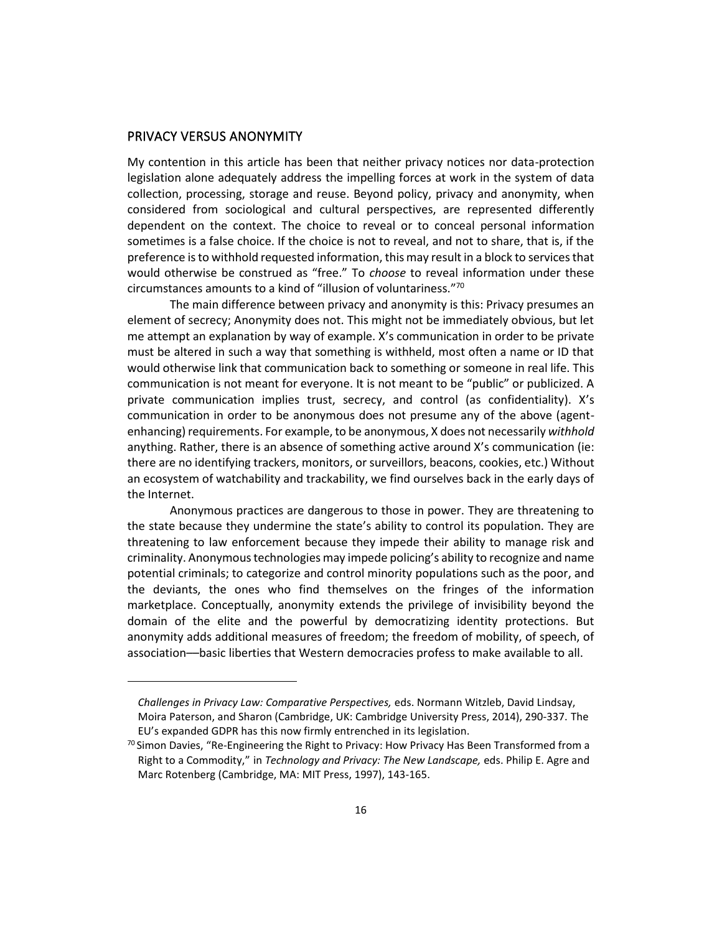## PRIVACY VERSUS ANONYMITY

My contention in this article has been that neither privacy notices nor data-protection legislation alone adequately address the impelling forces at work in the system of data collection, processing, storage and reuse. Beyond policy, privacy and anonymity, when considered from sociological and cultural perspectives, are represented differently dependent on the context. The choice to reveal or to conceal personal information sometimes is a false choice. If the choice is not to reveal, and not to share, that is, if the preference is to withhold requested information, this may result in a block to services that would otherwise be construed as "free." To *choose* to reveal information under these circumstances amounts to a kind of "illusion of voluntariness."<sup>70</sup>

The main difference between privacy and anonymity is this: Privacy presumes an element of secrecy; Anonymity does not. This might not be immediately obvious, but let me attempt an explanation by way of example. X's communication in order to be private must be altered in such a way that something is withheld, most often a name or ID that would otherwise link that communication back to something or someone in real life. This communication is not meant for everyone. It is not meant to be "public" or publicized. A private communication implies trust, secrecy, and control (as confidentiality). X's communication in order to be anonymous does not presume any of the above (agentenhancing) requirements. For example, to be anonymous, X does not necessarily *withhold* anything. Rather, there is an absence of something active around X's communication (ie: there are no identifying trackers, monitors, or surveillors, beacons, cookies, etc.) Without an ecosystem of watchability and trackability, we find ourselves back in the early days of the Internet.

Anonymous practices are dangerous to those in power. They are threatening to the state because they undermine the state's ability to control its population. They are threatening to law enforcement because they impede their ability to manage risk and criminality. Anonymous technologies may impede policing's ability to recognize and name potential criminals; to categorize and control minority populations such as the poor, and the deviants, the ones who find themselves on the fringes of the information marketplace. Conceptually, anonymity extends the privilege of invisibility beyond the domain of the elite and the powerful by democratizing identity protections. But anonymity adds additional measures of freedom; the freedom of mobility, of speech, of association––basic liberties that Western democracies profess to make available to all.

*Challenges in Privacy Law: Comparative Perspectives,* eds. Normann Witzleb, David Lindsay, Moira Paterson, and Sharon (Cambridge, UK: Cambridge University Press, 2014), 290-337. The EU's expanded GDPR has this now firmly entrenched in its legislation.

 $^{70}$  Simon Davies, "Re-Engineering the Right to Privacy: How Privacy Has Been Transformed from a Right to a Commodity," in *Technology and Privacy: The New Landscape,* eds. Philip E. Agre and Marc Rotenberg (Cambridge, MA: MIT Press, 1997), 143-165.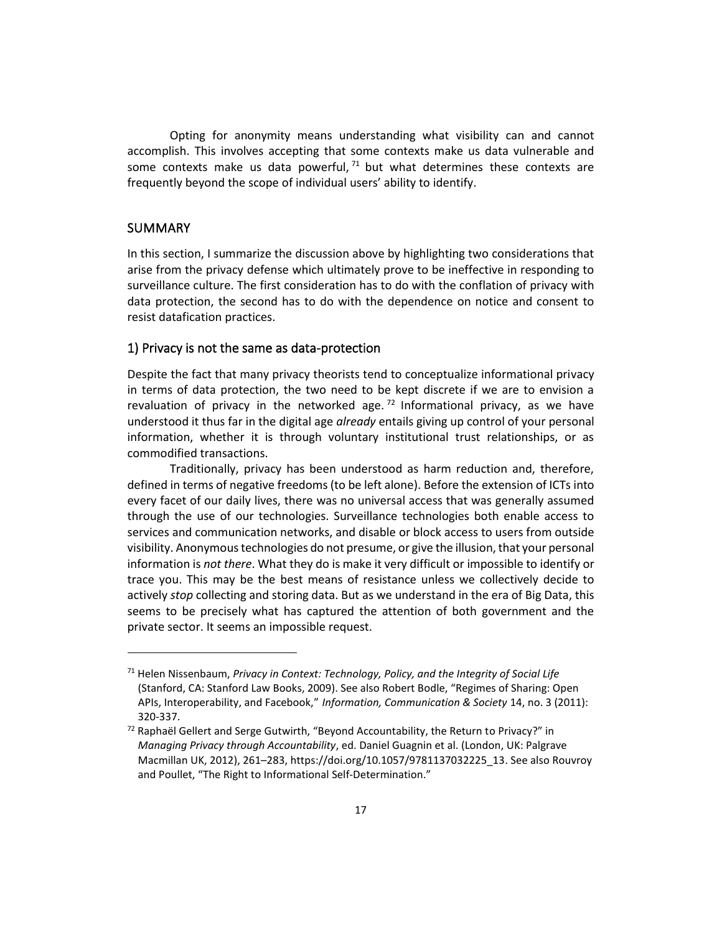Opting for anonymity means understanding what visibility can and cannot accomplish. This involves accepting that some contexts make us data vulnerable and some contexts make us data powerful,  $71$  but what determines these contexts are frequently beyond the scope of individual users' ability to identify.

### SUMMARY

In this section, I summarize the discussion above by highlighting two considerations that arise from the privacy defense which ultimately prove to be ineffective in responding to surveillance culture. The first consideration has to do with the conflation of privacy with data protection, the second has to do with the dependence on notice and consent to resist datafication practices.

#### 1) Privacy is not the same as data-protection

Despite the fact that many privacy theorists tend to conceptualize informational privacy in terms of data protection, the two need to be kept discrete if we are to envision a revaluation of privacy in the networked age.<sup>72</sup> Informational privacy, as we have understood it thus far in the digital age *already* entails giving up control of your personal information, whether it is through voluntary institutional trust relationships, or as commodified transactions.

Traditionally, privacy has been understood as harm reduction and, therefore, defined in terms of negative freedoms (to be left alone). Before the extension of ICTs into every facet of our daily lives, there was no universal access that was generally assumed through the use of our technologies. Surveillance technologies both enable access to services and communication networks, and disable or block access to users from outside visibility. Anonymous technologies do not presume, or give the illusion, that your personal information is *not there*. What they do is make it very difficult or impossible to identify or trace you. This may be the best means of resistance unless we collectively decide to actively *stop* collecting and storing data. But as we understand in the era of Big Data, this seems to be precisely what has captured the attention of both government and the private sector. It seems an impossible request.

<sup>71</sup> Helen Nissenbaum, *Privacy in Context: Technology, Policy, and the Integrity of Social Life* (Stanford, CA: Stanford Law Books, 2009). See also Robert Bodle, "Regimes of Sharing: Open APIs, Interoperability, and Facebook," *Information, Communication & Society* 14, no. 3 (2011): 320-337.

 $72$  Raphaël Gellert and Serge Gutwirth, "Beyond Accountability, the Return to Privacy?" in *Managing Privacy through Accountability*, ed. Daniel Guagnin et al. (London, UK: Palgrave Macmillan UK, 2012), 261–283, https://doi.org/10.1057/9781137032225\_13. See also Rouvroy and Poullet, "The Right to Informational Self-Determination."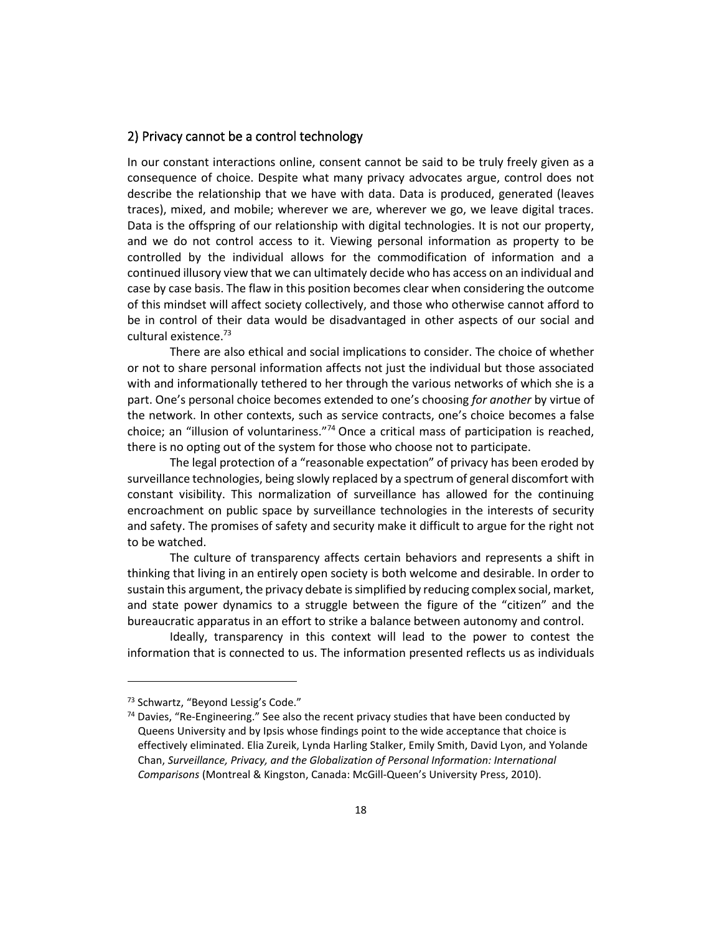### 2) Privacy cannot be a control technology

In our constant interactions online, consent cannot be said to be truly freely given as a consequence of choice. Despite what many privacy advocates argue, control does not describe the relationship that we have with data. Data is produced, generated (leaves traces), mixed, and mobile; wherever we are, wherever we go, we leave digital traces. Data is the offspring of our relationship with digital technologies. It is not our property, and we do not control access to it. Viewing personal information as property to be controlled by the individual allows for the commodification of information and a continued illusory view that we can ultimately decide who has access on an individual and case by case basis. The flaw in this position becomes clear when considering the outcome of this mindset will affect society collectively, and those who otherwise cannot afford to be in control of their data would be disadvantaged in other aspects of our social and cultural existence.<sup>73</sup>

There are also ethical and social implications to consider. The choice of whether or not to share personal information affects not just the individual but those associated with and informationally tethered to her through the various networks of which she is a part. One's personal choice becomes extended to one's choosing *for another* by virtue of the network. In other contexts, such as service contracts, one's choice becomes a false choice; an "illusion of voluntariness."<sup>74</sup> Once a critical mass of participation is reached, there is no opting out of the system for those who choose not to participate.

The legal protection of a "reasonable expectation" of privacy has been eroded by surveillance technologies, being slowly replaced by a spectrum of general discomfort with constant visibility. This normalization of surveillance has allowed for the continuing encroachment on public space by surveillance technologies in the interests of security and safety. The promises of safety and security make it difficult to argue for the right not to be watched.

The culture of transparency affects certain behaviors and represents a shift in thinking that living in an entirely open society is both welcome and desirable. In order to sustain this argument, the privacy debate is simplified by reducing complex social, market, and state power dynamics to a struggle between the figure of the "citizen" and the bureaucratic apparatus in an effort to strike a balance between autonomy and control.

Ideally, transparency in this context will lead to the power to contest the information that is connected to us. The information presented reflects us as individuals

<sup>73</sup> Schwartz, "Beyond Lessig's Code."

 $74$  Davies, "Re-Engineering." See also the recent privacy studies that have been conducted by Queens University and by Ipsis whose findings point to the wide acceptance that choice is effectively eliminated. Elia Zureik, Lynda Harling Stalker, Emily Smith, David Lyon, and Yolande Chan, *Surveillance, Privacy, and the Globalization of Personal Information: International Comparisons* (Montreal & Kingston, Canada: McGill-Queen's University Press, 2010).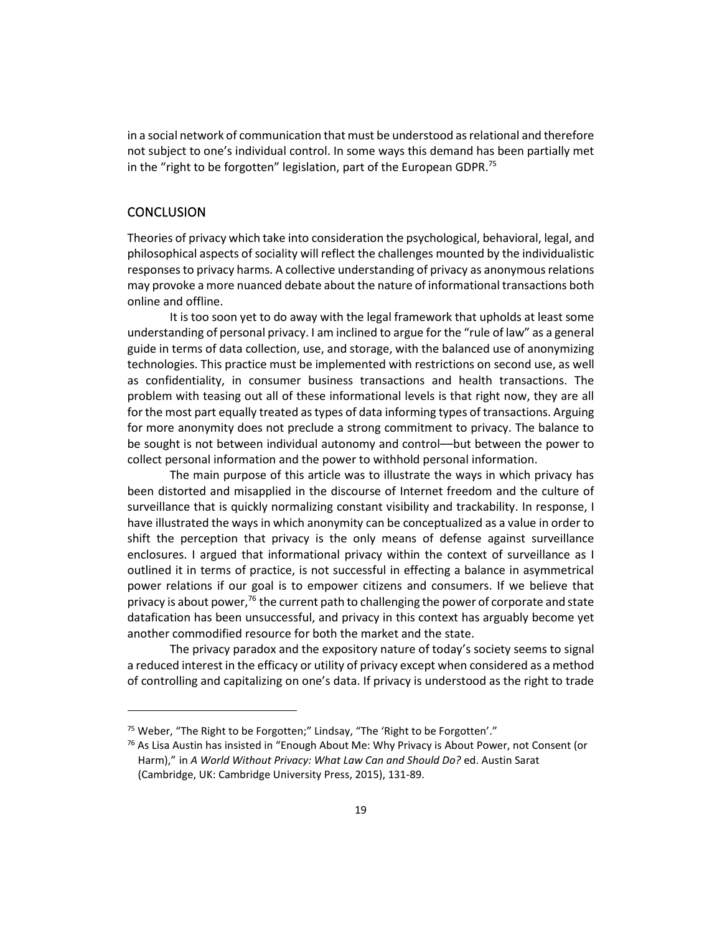in a social network of communication that must be understood as relational and therefore not subject to one's individual control. In some ways this demand has been partially met in the "right to be forgotten" legislation, part of the European GDPR.<sup>75</sup>

### **CONCLUSION**

Theories of privacy which take into consideration the psychological, behavioral, legal, and philosophical aspects of sociality will reflect the challenges mounted by the individualistic responses to privacy harms. A collective understanding of privacy as anonymous relations may provoke a more nuanced debate about the nature of informational transactions both online and offline.

It is too soon yet to do away with the legal framework that upholds at least some understanding of personal privacy. I am inclined to argue for the "rule of law" as a general guide in terms of data collection, use, and storage, with the balanced use of anonymizing technologies. This practice must be implemented with restrictions on second use, as well as confidentiality, in consumer business transactions and health transactions. The problem with teasing out all of these informational levels is that right now, they are all for the most part equally treated as types of data informing types of transactions. Arguing for more anonymity does not preclude a strong commitment to privacy. The balance to be sought is not between individual autonomy and control––but between the power to collect personal information and the power to withhold personal information.

The main purpose of this article was to illustrate the ways in which privacy has been distorted and misapplied in the discourse of Internet freedom and the culture of surveillance that is quickly normalizing constant visibility and trackability. In response, I have illustrated the ways in which anonymity can be conceptualized as a value in order to shift the perception that privacy is the only means of defense against surveillance enclosures. I argued that informational privacy within the context of surveillance as I outlined it in terms of practice, is not successful in effecting a balance in asymmetrical power relations if our goal is to empower citizens and consumers. If we believe that privacy is about power,<sup>76</sup> the current path to challenging the power of corporate and state datafication has been unsuccessful, and privacy in this context has arguably become yet another commodified resource for both the market and the state.

The privacy paradox and the expository nature of today's society seems to signal a reduced interest in the efficacy or utility of privacy except when considered as a method of controlling and capitalizing on one's data. If privacy is understood as the right to trade

<sup>&</sup>lt;sup>75</sup> Weber, "The Right to be Forgotten;" Lindsay, "The 'Right to be Forgotten'."

 $76$  As Lisa Austin has insisted in "Enough About Me: Why Privacy is About Power, not Consent (or Harm)," in *A World Without Privacy: What Law Can and Should Do?* ed. Austin Sarat (Cambridge, UK: Cambridge University Press, 2015), 131-89.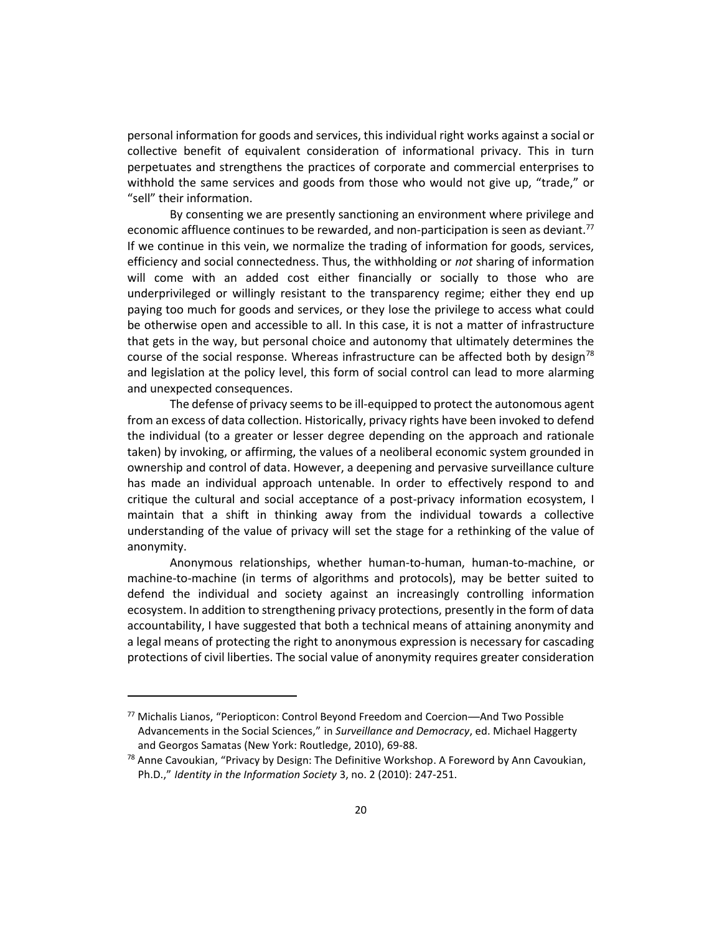personal information for goods and services, this individual right works against a social or collective benefit of equivalent consideration of informational privacy. This in turn perpetuates and strengthens the practices of corporate and commercial enterprises to withhold the same services and goods from those who would not give up, "trade," or "sell" their information.

By consenting we are presently sanctioning an environment where privilege and economic affluence continues to be rewarded, and non-participation is seen as deviant.<sup>77</sup> If we continue in this vein, we normalize the trading of information for goods, services, efficiency and social connectedness. Thus, the withholding or *not* sharing of information will come with an added cost either financially or socially to those who are underprivileged or willingly resistant to the transparency regime; either they end up paying too much for goods and services, or they lose the privilege to access what could be otherwise open and accessible to all. In this case, it is not a matter of infrastructure that gets in the way, but personal choice and autonomy that ultimately determines the course of the social response. Whereas infrastructure can be affected both by design<sup>78</sup> and legislation at the policy level, this form of social control can lead to more alarming and unexpected consequences.

The defense of privacy seems to be ill-equipped to protect the autonomous agent from an excess of data collection. Historically, privacy rights have been invoked to defend the individual (to a greater or lesser degree depending on the approach and rationale taken) by invoking, or affirming, the values of a neoliberal economic system grounded in ownership and control of data. However, a deepening and pervasive surveillance culture has made an individual approach untenable. In order to effectively respond to and critique the cultural and social acceptance of a post-privacy information ecosystem, I maintain that a shift in thinking away from the individual towards a collective understanding of the value of privacy will set the stage for a rethinking of the value of anonymity.

Anonymous relationships, whether human-to-human, human-to-machine, or machine-to-machine (in terms of algorithms and protocols), may be better suited to defend the individual and society against an increasingly controlling information ecosystem. In addition to strengthening privacy protections, presently in the form of data accountability, I have suggested that both a technical means of attaining anonymity and a legal means of protecting the right to anonymous expression is necessary for cascading protections of civil liberties. The social value of anonymity requires greater consideration

<sup>77</sup> Michalis Lianos, "Periopticon: Control Beyond Freedom and Coercion—And Two Possible Advancements in the Social Sciences," in *Surveillance and Democracy*, ed. Michael Haggerty and Georgos Samatas (New York: Routledge, 2010), 69-88.

 $78$  Anne Cavoukian, "Privacy by Design: The Definitive Workshop. A Foreword by Ann Cavoukian, Ph.D.," *Identity in the Information Society* 3, no. 2 (2010): 247-251.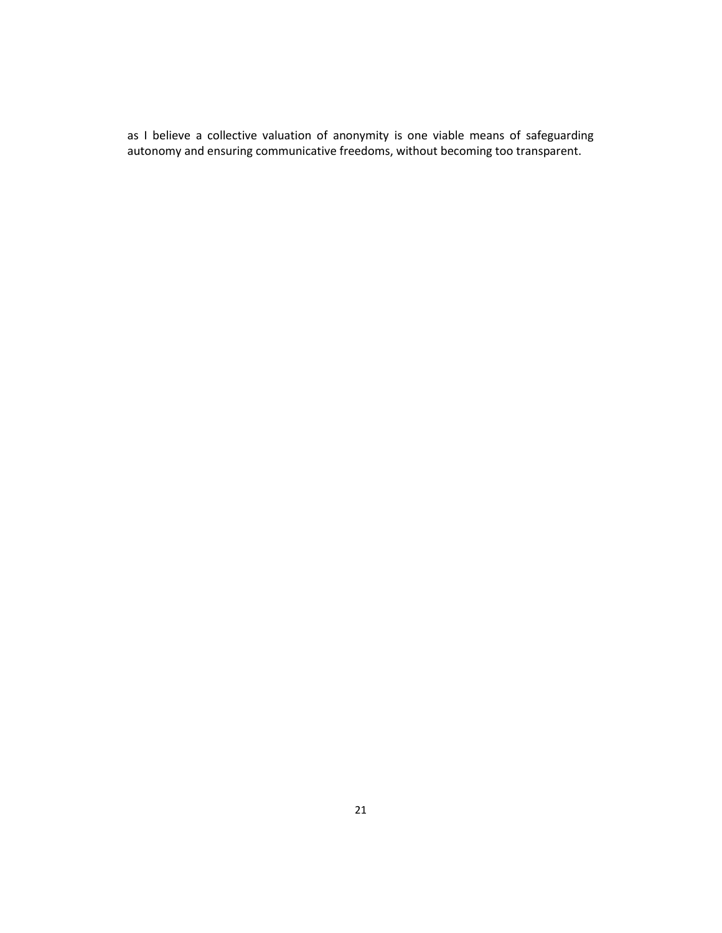as I believe a collective valuation of anonymity is one viable means of safeguarding autonomy and ensuring communicative freedoms, without becoming too transparent.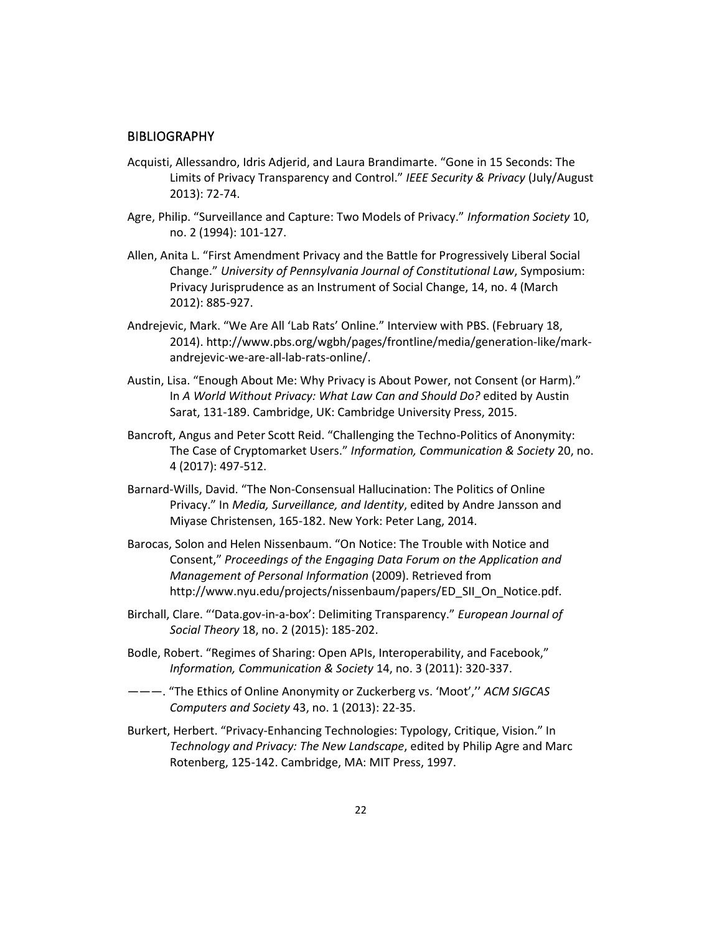#### **BIBLIOGRAPHY**

- Acquisti, Allessandro, Idris Adjerid, and Laura Brandimarte. "Gone in 15 Seconds: The Limits of Privacy Transparency and Control." *IEEE Security & Privacy* (July/August 2013): 72-74.
- Agre, Philip. "Surveillance and Capture: Two Models of Privacy." *Information Society* 10, no. 2 (1994): 101-127.
- Allen, Anita L. "First Amendment Privacy and the Battle for Progressively Liberal Social Change." *University of Pennsylvania Journal of Constitutional Law*, Symposium: Privacy Jurisprudence as an Instrument of Social Change, 14, no. 4 (March 2012): 885-927.
- Andrejevic, Mark. "We Are All 'Lab Rats' Online." Interview with PBS. (February 18, 2014). http://www.pbs.org/wgbh/pages/frontline/media/generation-like/markandrejevic-we-are-all-lab-rats-online/.
- Austin, Lisa. "Enough About Me: Why Privacy is About Power, not Consent (or Harm)." In *A World Without Privacy: What Law Can and Should Do?* edited by Austin Sarat, 131-189. Cambridge, UK: Cambridge University Press, 2015.
- Bancroft, Angus and Peter Scott Reid. "Challenging the Techno-Politics of Anonymity: The Case of Cryptomarket Users." *Information, Communication & Society* 20, no. 4 (2017): 497-512.
- Barnard-Wills, David. "The Non-Consensual Hallucination: The Politics of Online Privacy." In *Media, Surveillance, and Identity*, edited by Andre Jansson and Miyase Christensen, 165-182. New York: Peter Lang, 2014.
- Barocas, Solon and Helen Nissenbaum. "On Notice: The Trouble with Notice and Consent," *Proceedings of the Engaging Data Forum on the Application and Management of Personal Information* (2009). Retrieved from http://www.nyu.edu/projects/nissenbaum/papers/ED\_SII\_On\_Notice.pdf.
- Birchall, Clare. "'Data.gov-in-a-box': Delimiting Transparency." *European Journal of Social Theory* 18, no. 2 (2015): 185-202.
- Bodle, Robert. "Regimes of Sharing: Open APIs, Interoperability, and Facebook," *Information, Communication & Society* 14, no. 3 (2011): 320-337.
- ———. "The Ethics of Online Anonymity or Zuckerberg vs. 'Moot','' *ACM SIGCAS Computers and Society* 43, no. 1 (2013): 22-35.
- Burkert, Herbert. "Privacy-Enhancing Technologies: Typology, Critique, Vision." In *Technology and Privacy: The New Landscape*, edited by Philip Agre and Marc Rotenberg, 125-142. Cambridge, MA: MIT Press, 1997.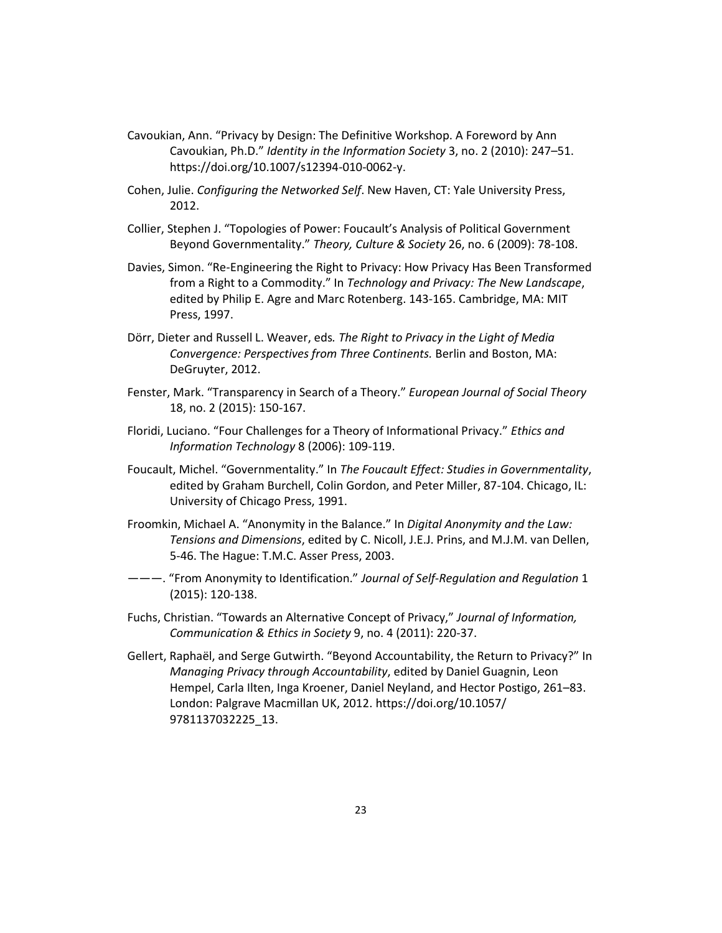- Cavoukian, Ann. "Privacy by Design: The Definitive Workshop. A Foreword by Ann Cavoukian, Ph.D." *Identity in the Information Society* 3, no. 2 (2010): 247–51. https://doi.org/10.1007/s12394-010-0062-y.
- Cohen, Julie. *Configuring the Networked Self*. New Haven, CT: Yale University Press, 2012.
- Collier, Stephen J. "Topologies of Power: Foucault's Analysis of Political Government Beyond Governmentality." *Theory, Culture & Society* 26, no. 6 (2009): 78-108.
- Davies, Simon. "Re-Engineering the Right to Privacy: How Privacy Has Been Transformed from a Right to a Commodity." In *Technology and Privacy: The New Landscape*, edited by Philip E. Agre and Marc Rotenberg. 143-165. Cambridge, MA: MIT Press, 1997.
- Dörr, Dieter and Russell L. Weaver, eds*. The Right to Privacy in the Light of Media Convergence: Perspectives from Three Continents.* Berlin and Boston, MA: DeGruyter, 2012.
- Fenster, Mark. "Transparency in Search of a Theory." *European Journal of Social Theory* 18, no. 2 (2015): 150-167.
- Floridi, Luciano. "Four Challenges for a Theory of Informational Privacy." *Ethics and Information Technology* 8 (2006): 109-119.
- Foucault, Michel. "Governmentality." In *The Foucault Effect: Studies in Governmentality*, edited by Graham Burchell, Colin Gordon, and Peter Miller, 87-104. Chicago, IL: University of Chicago Press, 1991.
- Froomkin, Michael A. "Anonymity in the Balance." In *Digital Anonymity and the Law: Tensions and Dimensions*, edited by C. Nicoll, J.E.J. Prins, and M.J.M. van Dellen, 5-46. The Hague: T.M.C. Asser Press, 2003.
- ———. "From Anonymity to Identification." *Journal of Self-Regulation and Regulation* 1 (2015): 120-138.
- Fuchs, Christian. "Towards an Alternative Concept of Privacy," *Journal of Information, Communication & Ethics in Society* 9, no. 4 (2011): 220-37.
- Gellert, Raphaël, and Serge Gutwirth. "Beyond Accountability, the Return to Privacy?" In *Managing Privacy through Accountability*, edited by Daniel Guagnin, Leon Hempel, Carla Ilten, Inga Kroener, Daniel Neyland, and Hector Postigo, 261–83. London: Palgrave Macmillan UK, 2012. https://doi.org/10.1057/ 9781137032225\_13.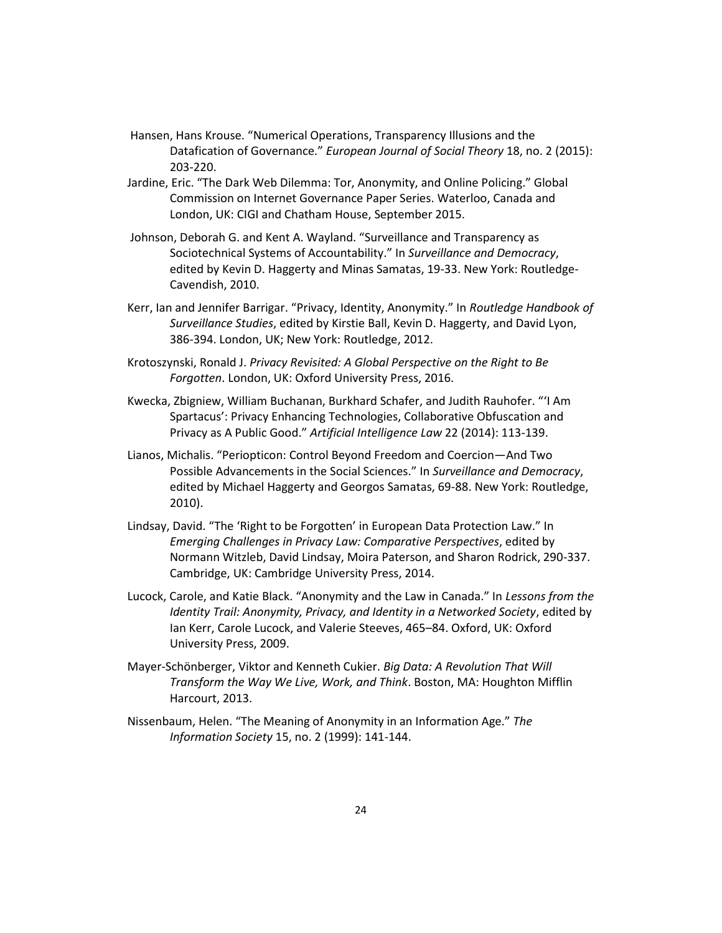- Hansen, Hans Krouse. "Numerical Operations, Transparency Illusions and the Datafication of Governance." *European Journal of Social Theory* 18, no. 2 (2015): 203-220.
- Jardine, Eric. "The Dark Web Dilemma: Tor, Anonymity, and Online Policing." Global Commission on Internet Governance Paper Series. Waterloo, Canada and London, UK: CIGI and Chatham House, September 2015.
- Johnson, Deborah G. and Kent A. Wayland. "Surveillance and Transparency as Sociotechnical Systems of Accountability." In *Surveillance and Democracy*, edited by Kevin D. Haggerty and Minas Samatas, 19-33. New York: Routledge-Cavendish, 2010.
- Kerr, Ian and Jennifer Barrigar. "Privacy, Identity, Anonymity." In *Routledge Handbook of Surveillance Studies*, edited by Kirstie Ball, Kevin D. Haggerty, and David Lyon, 386-394. London, UK; New York: Routledge, 2012.
- Krotoszynski, Ronald J. *Privacy Revisited: A Global Perspective on the Right to Be Forgotten*. London, UK: Oxford University Press, 2016.
- Kwecka, Zbigniew, William Buchanan, Burkhard Schafer, and Judith Rauhofer. "'I Am Spartacus': Privacy Enhancing Technologies, Collaborative Obfuscation and Privacy as A Public Good." *Artificial Intelligence Law* 22 (2014): 113-139.
- Lianos, Michalis. "Periopticon: Control Beyond Freedom and Coercion—And Two Possible Advancements in the Social Sciences." In *Surveillance and Democracy*, edited by Michael Haggerty and Georgos Samatas, 69-88. New York: Routledge, 2010).
- Lindsay, David. "The 'Right to be Forgotten' in European Data Protection Law." In *Emerging Challenges in Privacy Law: Comparative Perspectives*, edited by Normann Witzleb, David Lindsay, Moira Paterson, and Sharon Rodrick, 290-337. Cambridge, UK: Cambridge University Press, 2014.
- Lucock, Carole, and Katie Black. "Anonymity and the Law in Canada." In *Lessons from the Identity Trail: Anonymity, Privacy, and Identity in a Networked Society*, edited by Ian Kerr, Carole Lucock, and Valerie Steeves, 465–84. Oxford, UK: Oxford University Press, 2009.
- Mayer-Schönberger, Viktor and Kenneth Cukier. *Big Data: A Revolution That Will Transform the Way We Live, Work, and Think*. Boston, MA: Houghton Mifflin Harcourt, 2013.
- Nissenbaum, Helen. "The Meaning of Anonymity in an Information Age." *The Information Society* 15, no. 2 (1999): 141-144.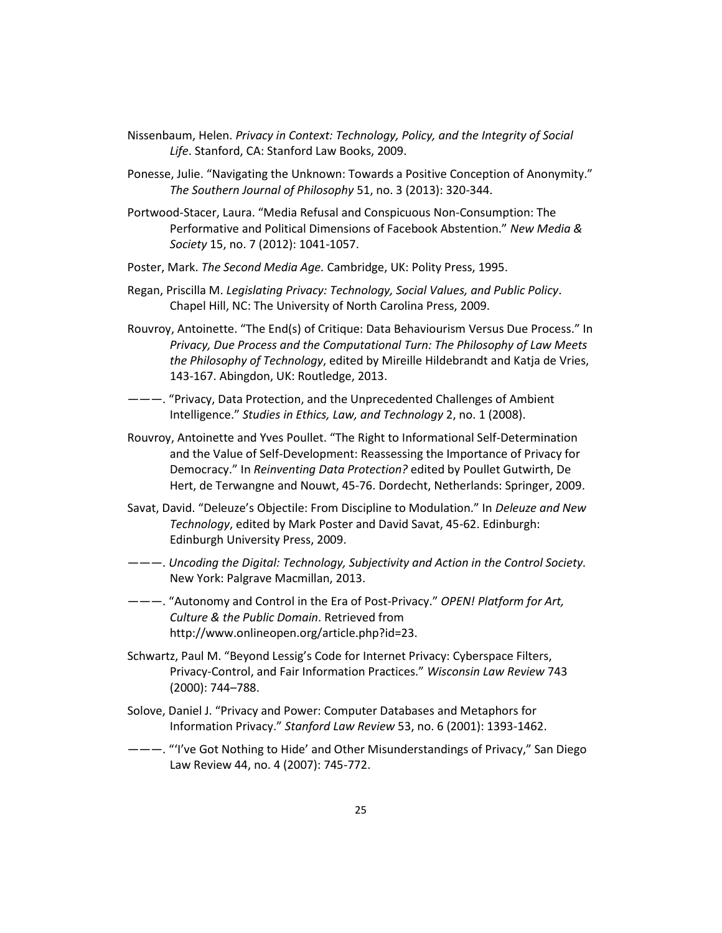- Nissenbaum, Helen. *Privacy in Context: Technology, Policy, and the Integrity of Social Life*. Stanford, CA: Stanford Law Books, 2009.
- Ponesse, Julie. "Navigating the Unknown: Towards a Positive Conception of Anonymity." *The Southern Journal of Philosophy* 51, no. 3 (2013): 320-344.
- Portwood-Stacer, Laura. "Media Refusal and Conspicuous Non-Consumption: The Performative and Political Dimensions of Facebook Abstention." *New Media & Society* 15, no. 7 (2012): 1041-1057.
- Poster, Mark. *The Second Media Age.* Cambridge, UK: Polity Press, 1995.
- Regan, Priscilla M. *Legislating Privacy: Technology, Social Values, and Public Policy*. Chapel Hill, NC: The University of North Carolina Press, 2009.
- Rouvroy, Antoinette. "The End(s) of Critique: Data Behaviourism Versus Due Process." In *Privacy, Due Process and the Computational Turn: The Philosophy of Law Meets the Philosophy of Technology*, edited by Mireille Hildebrandt and Katja de Vries, 143-167. Abingdon, UK: Routledge, 2013.
- ———. "Privacy, Data Protection, and the Unprecedented Challenges of Ambient Intelligence." *Studies in Ethics, Law, and Technology* 2, no. 1 (2008).
- Rouvroy, Antoinette and Yves Poullet. "The Right to Informational Self-Determination and the Value of Self-Development: Reassessing the Importance of Privacy for Democracy." In *Reinventing Data Protection?* edited by Poullet Gutwirth, De Hert, de Terwangne and Nouwt, 45-76. Dordecht, Netherlands: Springer, 2009.
- Savat, David. "Deleuze's Objectile: From Discipline to Modulation." In *Deleuze and New Technology*, edited by Mark Poster and David Savat, 45-62. Edinburgh: Edinburgh University Press, 2009.
- ———. *Uncoding the Digital: Technology, Subjectivity and Action in the Control Society.* New York: Palgrave Macmillan, 2013.
- ———. "Autonomy and Control in the Era of Post-Privacy." *OPEN! Platform for Art, Culture & the Public Domain*. Retrieved from http://www.onlineopen.org/article.php?id=23.
- Schwartz, Paul M. "Beyond Lessig's Code for Internet Privacy: Cyberspace Filters, Privacy-Control, and Fair Information Practices." *Wisconsin Law Review* 743 (2000): 744–788.
- Solove, Daniel J. "Privacy and Power: Computer Databases and Metaphors for Information Privacy." *Stanford Law Review* 53, no. 6 (2001): 1393-1462.
- ———. "'I've Got Nothing to Hide' and Other Misunderstandings of Privacy," San Diego Law Review 44, no. 4 (2007): 745-772.